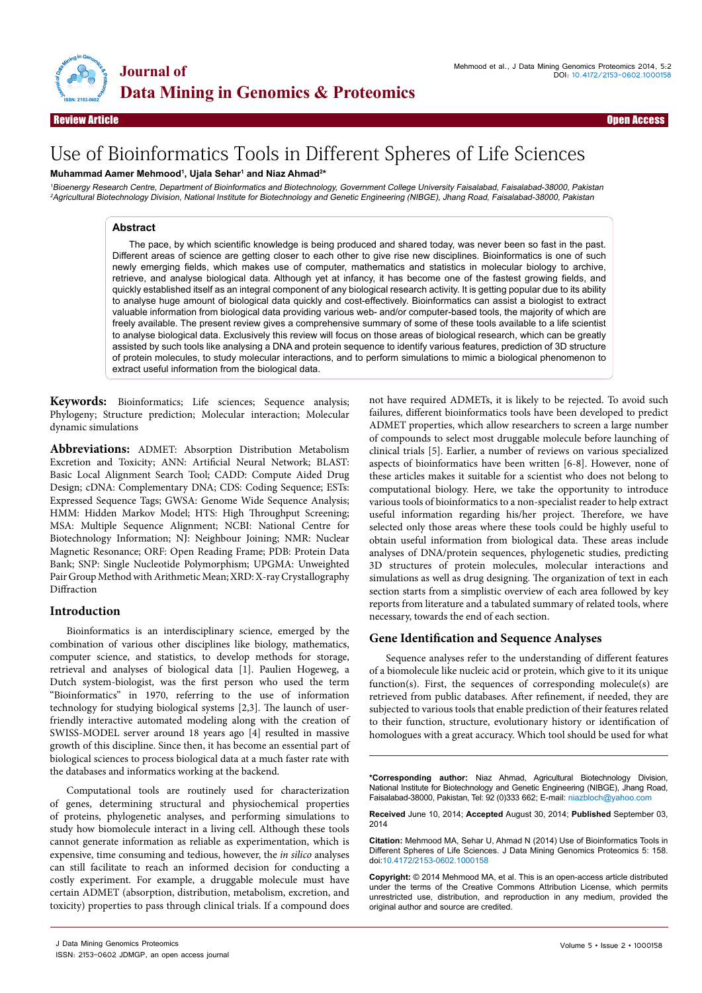

# Use of Bioinformatics Tools in Different Spheres of Life Sciences

Muhammad Aamer Mehmood<sup>1</sup>, Ujala Sehar<sup>1</sup> and Niaz Ahmad<sup>2</sup>\*

<sup>1</sup>Bioenergy Research Centre, Department of Bioinformatics and Biotechnology, Government College University Faisalabad, Faisalabad-38000, Pakistan <sup>2</sup>Agricultural Biotechnology Division, National Institute for Biotechnology and Genetic Engineering (NIBGE), Jhang Road, Faisalabad-38000, Pakistan

## **Abstract**

The pace, by which scientific knowledge is being produced and shared today, was never been so fast in the past. Different areas of science are getting closer to each other to give rise new disciplines. Bioinformatics is one of such newly emerging fields, which makes use of computer, mathematics and statistics in molecular biology to archive, retrieve, and analyse biological data. Although yet at infancy, it has become one of the fastest growing fields, and quickly established itself as an integral component of any biological research activity. It is getting popular due to its ability to analyse huge amount of biological data quickly and cost-effectively. Bioinformatics can assist a biologist to extract valuable information from biological data providing various web- and/or computer-based tools, the majority of which are freely available. The present review gives a comprehensive summary of some of these tools available to a life scientist to analyse biological data. Exclusively this review will focus on those areas of biological research, which can be greatly assisted by such tools like analysing a DNA and protein sequence to identify various features, prediction of 3D structure of protein molecules, to study molecular interactions, and to perform simulations to mimic a biological phenomenon to extract useful information from the biological data.

**Keywords:** Bioinformatics; Life sciences; Sequence analysis; Phylogeny; Structure prediction; Molecular interaction; Molecular dynamic simulations

**Abbreviations:** ADMET: Absorption Distribution Metabolism Excretion and Toxicity; ANN: Artificial Neural Network; BLAST: Basic Local Alignment Search Tool; CADD: Compute Aided Drug Design; cDNA: Complementary DNA; CDS: Coding Sequence; ESTs: Expressed Sequence Tags; GWSA: Genome Wide Sequence Analysis; HMM: Hidden Markov Model; HTS: High Throughput Screening; MSA: Multiple Sequence Alignment; NCBI: National Centre for Biotechnology Information; NJ: Neighbour Joining; NMR: Nuclear Magnetic Resonance; ORF: Open Reading Frame; PDB: Protein Data Bank; SNP: Single Nucleotide Polymorphism; UPGMA: Unweighted Pair Group Method with Arithmetic Mean; XRD: X-ray Crystallography Diffraction

## **Introduction**

Bioinformatics is an interdisciplinary science, emerged by the combination of various other disciplines like biology, mathematics, computer science, and statistics, to develop methods for storage, retrieval and analyses of biological data [1]. Paulien Hogeweg, a Dutch system-biologist, was the first person who used the term "Bioinformatics" in 1970, referring to the use of information technology for studying biological systems [2,3]. The launch of userfriendly interactive automated modeling along with the creation of SWISS-MODEL server around 18 years ago [4] resulted in massive growth of this discipline. Since then, it has become an essential part of biological sciences to process biological data at a much faster rate with the databases and informatics working at the backend.

Computational tools are routinely used for characterization of genes, determining structural and physiochemical properties of proteins, phylogenetic analyses, and performing simulations to study how biomolecule interact in a living cell. Although these tools cannot generate information as reliable as experimentation, which is expensive, time consuming and tedious, however, the *in silico* analyses can still facilitate to reach an informed decision for conducting a costly experiment. For example, a druggable molecule must have certain ADMET (absorption, distribution, metabolism, excretion, and toxicity) properties to pass through clinical trials. If a compound does

not have required ADMETs, it is likely to be rejected. To avoid such failures, different bioinformatics tools have been developed to predict ADMET properties, which allow researchers to screen a large number of compounds to select most druggable molecule before launching of clinical trials [5]. Earlier, a number of reviews on various specialized aspects of bioinformatics have been written [6-8]. However, none of these articles makes it suitable for a scientist who does not belong to computational biology. Here, we take the opportunity to introduce various tools of bioinformatics to a non-specialist reader to help extract useful information regarding his/her project. Therefore, we have selected only those areas where these tools could be highly useful to obtain useful information from biological data. These areas include analyses of DNA/protein sequences, phylogenetic studies, predicting 3D structures of protein molecules, molecular interactions and simulations as well as drug designing. The organization of text in each section starts from a simplistic overview of each area followed by key reports from literature and a tabulated summary of related tools, where necessary, towards the end of each section.

## **Gene Identification and Sequence Analyses**

Sequence analyses refer to the understanding of different features of a biomolecule like nucleic acid or protein, which give to it its unique function(s). First, the sequences of corresponding molecule(s) are retrieved from public databases. After refinement, if needed, they are subjected to various tools that enable prediction of their features related to their function, structure, evolutionary history or identification of homologues with a great accuracy. Which tool should be used for what

**\*Corresponding author:** Niaz Ahmad, Agricultural Biotechnology Division, National Institute for Biotechnology and Genetic Engineering (NIBGE), Jhang Road, Faisalabad-38000, Pakistan, Tel: 92 (0)333 662; E-mail: niazbloch@yahoo.com

**Received** June 10, 2014; **Accepted** August 30, 2014; **Published** September 03, 2014

**Citation:** Mehmood MA, Sehar U, Ahmad N (2014) Use of Bioinformatics Tools in Different Spheres of Life Sciences. J Data Mining Genomics Proteomics 5: 158. doi:10.4172/2153-0602.1000158

**Copyright:** © 2014 Mehmood MA, et al. This is an open-access article distributed under the terms of the Creative Commons Attribution License, which permits unrestricted use, distribution, and reproduction in any medium, provided the original author and source are credited.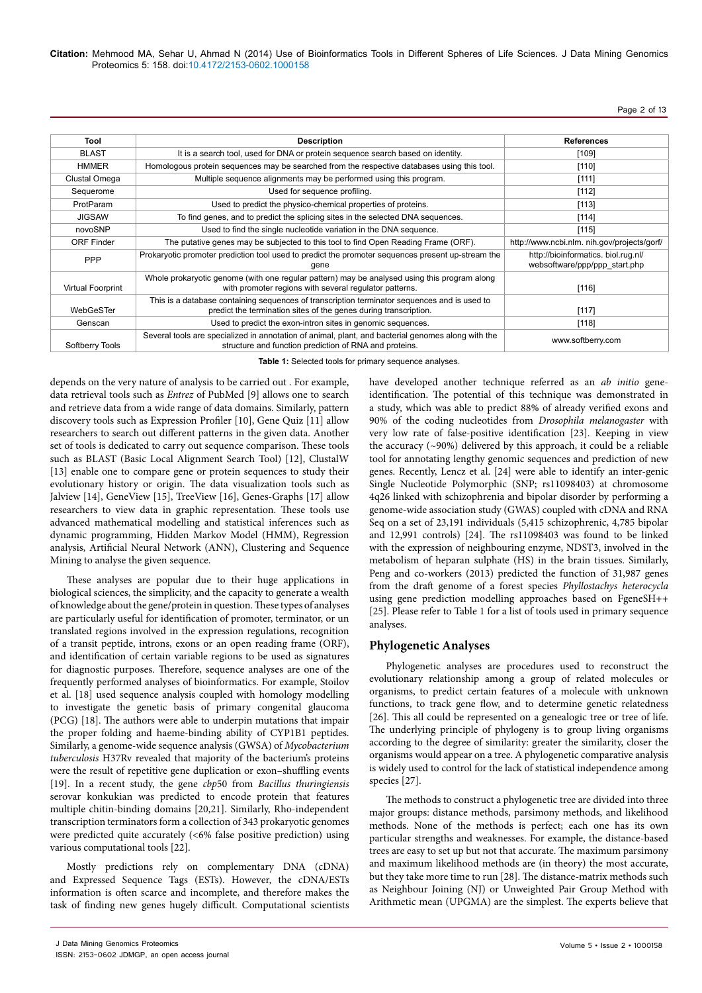Page 2 of 13

| Tool                     | <b>Description</b>                                                                                                                                               | <b>References</b>                                                   |
|--------------------------|------------------------------------------------------------------------------------------------------------------------------------------------------------------|---------------------------------------------------------------------|
| <b>BLAST</b>             | It is a search tool, used for DNA or protein sequence search based on identity.                                                                                  | [109]                                                               |
| <b>HMMER</b>             | Homologous protein sequences may be searched from the respective databases using this tool.                                                                      | [110]                                                               |
| Clustal Omega            | Multiple sequence alignments may be performed using this program.                                                                                                | [111]                                                               |
| Sequerome                | Used for sequence profiling.                                                                                                                                     | [112]                                                               |
| ProtParam                | Used to predict the physico-chemical properties of proteins.                                                                                                     | [113]                                                               |
| <b>JIGSAW</b>            | To find genes, and to predict the splicing sites in the selected DNA sequences.                                                                                  | [114]                                                               |
| novoSNP                  | Used to find the single nucleotide variation in the DNA sequence.                                                                                                | [115]                                                               |
| <b>ORF Finder</b>        | The putative genes may be subjected to this tool to find Open Reading Frame (ORF).                                                                               | http://www.ncbi.nlm.nih.gov/projects/gorf/                          |
| <b>PPP</b>               | Prokaryotic promoter prediction tool used to predict the promoter sequences present up-stream the<br>qene                                                        | http://bioinformatics.biol.rug.nl/<br>websoftware/ppp/ppp_start.php |
| <b>Virtual Foorprint</b> | Whole prokaryotic genome (with one regular pattern) may be analysed using this program along<br>with promoter regions with several regulator patterns.           | [116]                                                               |
| WebGeSTer                | This is a database containing sequences of transcription terminator sequences and is used to<br>predict the termination sites of the genes during transcription. | [117]                                                               |
| Genscan                  | Used to predict the exon-intron sites in genomic sequences.                                                                                                      | [118]                                                               |
| Softberry Tools          | Several tools are specialized in annotation of animal, plant, and bacterial genomes along with the<br>structure and function prediction of RNA and proteins.     | www.softberry.com                                                   |

**Table 1:** Selected tools for primary sequence analyses.

depends on the very nature of analysis to be carried out . For example, data retrieval tools such as *Entrez* of PubMed [9] allows one to search and retrieve data from a wide range of data domains. Similarly, pattern discovery tools such as Expression Profiler [10], Gene Quiz [11] allow researchers to search out different patterns in the given data. Another set of tools is dedicated to carry out sequence comparison. These tools such as BLAST (Basic Local Alignment Search Tool) [12], ClustalW [13] enable one to compare gene or protein sequences to study their evolutionary history or origin. The data visualization tools such as Jalview [14], GeneView [15], TreeView [16], Genes-Graphs [17] allow researchers to view data in graphic representation. These tools use advanced mathematical modelling and statistical inferences such as dynamic programming, Hidden Markov Model (HMM), Regression analysis, Artificial Neural Network (ANN), Clustering and Sequence Mining to analyse the given sequence.

These analyses are popular due to their huge applications in biological sciences, the simplicity, and the capacity to generate a wealth of knowledge about the gene/protein in question. These types of analyses are particularly useful for identification of promoter, terminator, or un translated regions involved in the expression regulations, recognition of a transit peptide, introns, exons or an open reading frame (ORF), and identification of certain variable regions to be used as signatures for diagnostic purposes. Therefore, sequence analyses are one of the frequently performed analyses of bioinformatics. For example, Stoilov et al. [18] used sequence analysis coupled with homology modelling to investigate the genetic basis of primary congenital glaucoma (PCG) [18]. The authors were able to underpin mutations that impair the proper folding and haeme-binding ability of CYP1B1 peptides. Similarly, a genome-wide sequence analysis (GWSA) of *Mycobacterium tuberculosis* H37Rv revealed that majority of the bacterium's proteins were the result of repetitive gene duplication or exon–shuffling events [19]. In a recent study, the gene *cbp*50 from *Bacillus thuringiensis*  serovar konkukian was predicted to encode protein that features multiple chitin-binding domains [20,21]. Similarly, Rho-independent transcription terminators form a collection of 343 prokaryotic genomes were predicted quite accurately (<6% false positive prediction) using various computational tools [22].

Mostly predictions rely on complementary DNA (cDNA) and Expressed Sequence Tags (ESTs). However, the cDNA/ESTs information is often scarce and incomplete, and therefore makes the task of finding new genes hugely difficult. Computational scientists

have developed another technique referred as an *ab initio* geneidentification. The potential of this technique was demonstrated in a study, which was able to predict 88% of already verified exons and 90% of the coding nucleotides from *Drosophila melanogaster* with very low rate of false-positive identification [23]. Keeping in view the accuracy (~90%) delivered by this approach, it could be a reliable tool for annotating lengthy genomic sequences and prediction of new genes. Recently, Lencz et al. [24] were able to identify an inter-genic Single Nucleotide Polymorphic (SNP; rs11098403) at chromosome 4q26 linked with schizophrenia and bipolar disorder by performing a genome-wide association study (GWAS) coupled with cDNA and RNA Seq on a set of 23,191 individuals (5,415 schizophrenic, 4,785 bipolar and 12,991 controls) [24]. The rs11098403 was found to be linked with the expression of neighbouring enzyme, NDST3, involved in the metabolism of heparan sulphate (HS) in the brain tissues. Similarly, Peng and co-workers (2013) predicted the function of 31,987 genes from the draft genome of a forest species *Phyllostachys heterocycla* using gene prediction modelling approaches based on FgeneSH++ [25]. Please refer to Table 1 for a list of tools used in primary sequence analyses.

# **Phylogenetic Analyses**

Phylogenetic analyses are procedures used to reconstruct the evolutionary relationship among a group of related molecules or organisms, to predict certain features of a molecule with unknown functions, to track gene flow, and to determine genetic relatedness [26]. This all could be represented on a genealogic tree or tree of life. The underlying principle of phylogeny is to group living organisms according to the degree of similarity: greater the similarity, closer the organisms would appear on a tree. A phylogenetic comparative analysis is widely used to control for the lack of statistical independence among species [27].

The methods to construct a phylogenetic tree are divided into three major groups: distance methods, parsimony methods, and likelihood methods. None of the methods is perfect; each one has its own particular strengths and weaknesses. For example, the distance-based trees are easy to set up but not that accurate. The maximum parsimony and maximum likelihood methods are (in theory) the most accurate, but they take more time to run [28]. The distance-matrix methods such as Neighbour Joining (NJ) or Unweighted Pair Group Method with Arithmetic mean (UPGMA) are the simplest. The experts believe that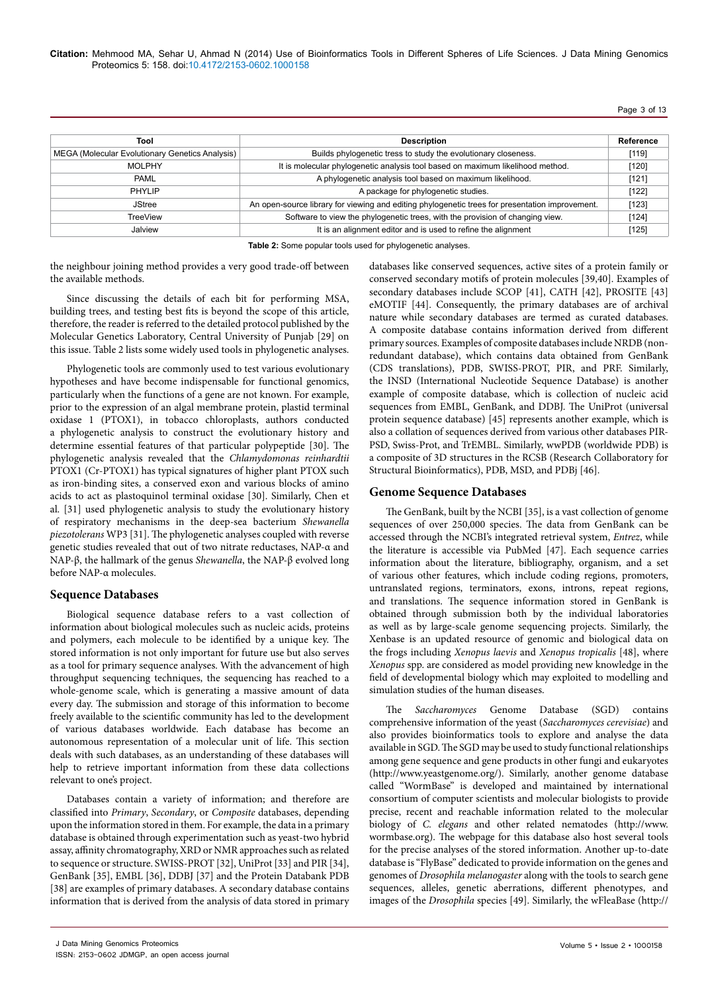Page 3 of 13

| Tool                                                   | <b>Description</b>                                                                              | Reference |
|--------------------------------------------------------|-------------------------------------------------------------------------------------------------|-----------|
| <b>MEGA</b> (Molecular Evolutionary Genetics Analysis) | Builds phylogenetic tress to study the evolutionary closeness.                                  | [119]     |
| <b>MOLPHY</b>                                          | It is molecular phylogenetic analysis tool based on maximum likelihood method.                  | [120]     |
| PAML                                                   | A phylogenetic analysis tool based on maximum likelihood.                                       | $[121]$   |
| <b>PHYLIP</b>                                          | A package for phylogenetic studies.                                                             | [122]     |
| <b>JStree</b>                                          | An open-source library for viewing and editing phylogenetic trees for presentation improvement. | [123]     |
| <b>TreeView</b>                                        | Software to view the phylogenetic trees, with the provision of changing view.                   | [124]     |
| Jalview                                                | It is an alignment editor and is used to refine the alignment                                   | [125]     |

**Table 2:** Some popular tools used for phylogenetic analyses.

the neighbour joining method provides a very good trade-off between the available methods.

Since discussing the details of each bit for performing MSA, building trees, and testing best fits is beyond the scope of this article, therefore, the reader is referred to the detailed protocol published by the Molecular Genetics Laboratory, Central University of Punjab [29] on this issue. Table 2 lists some widely used tools in phylogenetic analyses.

Phylogenetic tools are commonly used to test various evolutionary hypotheses and have become indispensable for functional genomics, particularly when the functions of a gene are not known. For example, prior to the expression of an algal membrane protein, plastid terminal oxidase 1 (PTOX1), in tobacco chloroplasts, authors conducted a phylogenetic analysis to construct the evolutionary history and determine essential features of that particular polypeptide [30]. The phylogenetic analysis revealed that the *Chlamydomonas reinhardtii* PTOX1 (Cr-PTOX1) has typical signatures of higher plant PTOX such as iron-binding sites, a conserved exon and various blocks of amino acids to act as plastoquinol terminal oxidase [30]. Similarly, Chen et al. [31] used phylogenetic analysis to study the evolutionary history of respiratory mechanisms in the deep-sea bacterium *Shewanella piezotolerans* WP3 [31]. The phylogenetic analyses coupled with reverse genetic studies revealed that out of two nitrate reductases, NAP-α and NAP-β, the hallmark of the genus *Shewanella*, the NAP-β evolved long before NAP-α molecules.

# **Sequence Databases**

Biological sequence database refers to a vast collection of information about biological molecules such as nucleic acids, proteins and polymers, each molecule to be identified by a unique key. The stored information is not only important for future use but also serves as a tool for primary sequence analyses. With the advancement of high throughput sequencing techniques, the sequencing has reached to a whole-genome scale, which is generating a massive amount of data every day. The submission and storage of this information to become freely available to the scientific community has led to the development of various databases worldwide. Each database has become an autonomous representation of a molecular unit of life. This section deals with such databases, as an understanding of these databases will help to retrieve important information from these data collections relevant to one's project.

Databases contain a variety of information; and therefore are classified into *Primary*, *Secondary*, or *Composite* databases, depending upon the information stored in them. For example, the data in a primary database is obtained through experimentation such as yeast-two hybrid assay, affinity chromatography, XRD or NMR approaches such as related to sequence or structure. SWISS-PROT [32], UniProt [33] and PIR [34], GenBank [35], EMBL [36], DDBJ [37] and the Protein Databank PDB [38] are examples of primary databases. A secondary database contains information that is derived from the analysis of data stored in primary databases like conserved sequences, active sites of a protein family or conserved secondary motifs of protein molecules [39,40]. Examples of secondary databases include SCOP [41], CATH [42], PROSITE [43] eMOTIF [44]. Consequently, the primary databases are of archival nature while secondary databases are termed as curated databases. A composite database contains information derived from different primary sources. Examples of composite databases include NRDB (nonredundant database), which contains data obtained from GenBank (CDS translations), PDB, SWISS-PROT, PIR, and PRF. Similarly, the INSD (International Nucleotide Sequence Database) is another example of composite database, which is collection of nucleic acid sequences from EMBL, GenBank, and DDBJ. The UniProt (universal protein sequence database) [45] represents another example, which is also a collation of sequences derived from various other databases PIR-PSD, Swiss-Prot, and TrEMBL. Similarly, wwPDB (worldwide PDB) is a composite of 3D structures in the RCSB (Research Collaboratory for Structural Bioinformatics), PDB, MSD, and PDBj [46].

# **Genome Sequence Databases**

The GenBank, built by the NCBI [35], is a vast collection of genome sequences of over 250,000 species. The data from GenBank can be accessed through the NCBI's integrated retrieval system, *Entrez*, while the literature is accessible via PubMed [47]. Each sequence carries information about the literature, bibliography, organism, and a set of various other features, which include coding regions, promoters, untranslated regions, terminators, exons, introns, repeat regions, and translations. The sequence information stored in GenBank is obtained through submission both by the individual laboratories as well as by large-scale genome sequencing projects. Similarly, the Xenbase is an updated resource of genomic and biological data on the frogs including *Xenopus laevis* and *Xenopus tropicalis* [48], where *Xenopus* spp. are considered as model providing new knowledge in the field of developmental biology which may exploited to modelling and simulation studies of the human diseases.

The *Saccharomyces* Genome Database (SGD) contains comprehensive information of the yeast (*Saccharomyces cerevisiae*) and also provides bioinformatics tools to explore and analyse the data available in SGD. The SGD may be used to study functional relationships among gene sequence and gene products in other fungi and eukaryotes (http://www.yeastgenome.org/). Similarly, another genome database called "WormBase" is developed and maintained by international consortium of computer scientists and molecular biologists to provide precise, recent and reachable information related to the molecular biology of *C. elegans* and other related nematodes (http://www. wormbase.org). The webpage for this database also host several tools for the precise analyses of the stored information. Another up-to-date database is "FlyBase" dedicated to provide information on the genes and genomes of *Drosophila melanogaster* along with the tools to search gene sequences, alleles, genetic aberrations, different phenotypes, and images of the *Drosophila* species [49]. Similarly, the wFleaBase (http://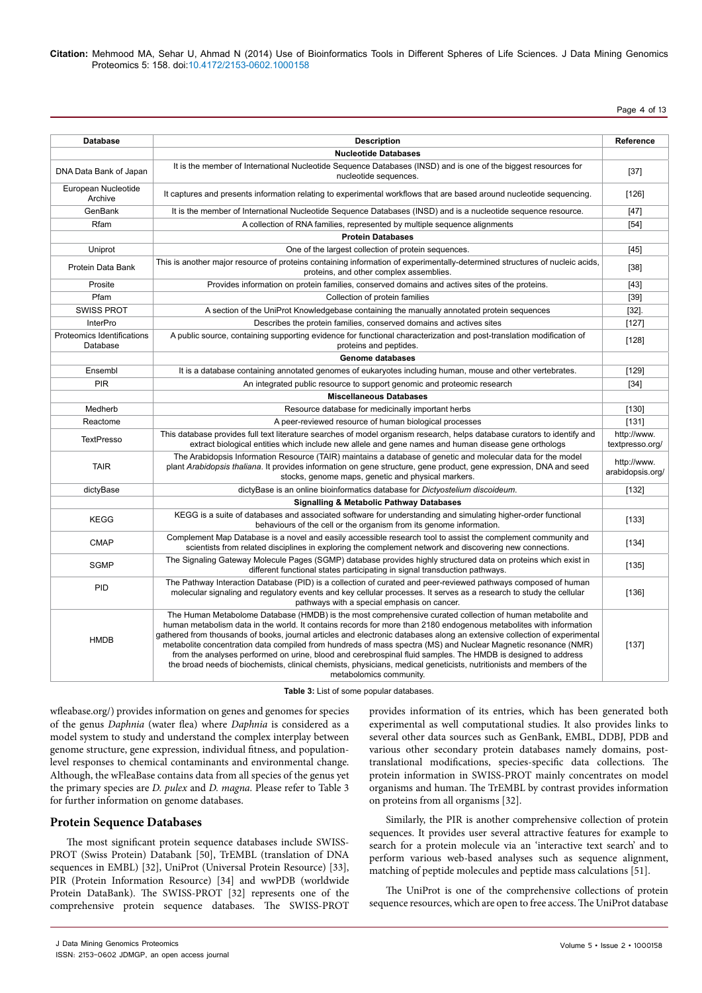Page 4 of 13

| <b>Database</b>                        | <b>Description</b>                                                                                                                                                                                                                                                                                                                                                                                                                                                                                                                                                                                                                                                                                                                                | Reference                       |
|----------------------------------------|---------------------------------------------------------------------------------------------------------------------------------------------------------------------------------------------------------------------------------------------------------------------------------------------------------------------------------------------------------------------------------------------------------------------------------------------------------------------------------------------------------------------------------------------------------------------------------------------------------------------------------------------------------------------------------------------------------------------------------------------------|---------------------------------|
|                                        | <b>Nucleotide Databases</b>                                                                                                                                                                                                                                                                                                                                                                                                                                                                                                                                                                                                                                                                                                                       |                                 |
| DNA Data Bank of Japan                 | It is the member of International Nucleotide Sequence Databases (INSD) and is one of the biggest resources for<br>nucleotide sequences.                                                                                                                                                                                                                                                                                                                                                                                                                                                                                                                                                                                                           | $[37]$                          |
| European Nucleotide<br>Archive         | It captures and presents information relating to experimental workflows that are based around nucleotide sequencing.                                                                                                                                                                                                                                                                                                                                                                                                                                                                                                                                                                                                                              | [126]                           |
| GenBank                                | It is the member of International Nucleotide Sequence Databases (INSD) and is a nucleotide sequence resource.                                                                                                                                                                                                                                                                                                                                                                                                                                                                                                                                                                                                                                     | $[47]$                          |
| Rfam                                   | A collection of RNA families, represented by multiple sequence alignments                                                                                                                                                                                                                                                                                                                                                                                                                                                                                                                                                                                                                                                                         | $[54]$                          |
|                                        | <b>Protein Databases</b>                                                                                                                                                                                                                                                                                                                                                                                                                                                                                                                                                                                                                                                                                                                          |                                 |
| Uniprot                                | One of the largest collection of protein sequences.                                                                                                                                                                                                                                                                                                                                                                                                                                                                                                                                                                                                                                                                                               | $[45]$                          |
| Protein Data Bank                      | This is another major resource of proteins containing information of experimentally-determined structures of nucleic acids,<br>proteins, and other complex assemblies.                                                                                                                                                                                                                                                                                                                                                                                                                                                                                                                                                                            | [38]                            |
| Prosite                                | Provides information on protein families, conserved domains and actives sites of the proteins.                                                                                                                                                                                                                                                                                                                                                                                                                                                                                                                                                                                                                                                    | $[43]$                          |
| Pfam                                   | Collection of protein families                                                                                                                                                                                                                                                                                                                                                                                                                                                                                                                                                                                                                                                                                                                    | $[39]$                          |
| <b>SWISS PROT</b>                      | A section of the UniProt Knowledgebase containing the manually annotated protein sequences                                                                                                                                                                                                                                                                                                                                                                                                                                                                                                                                                                                                                                                        | $[32]$ .                        |
| <b>InterPro</b>                        | Describes the protein families, conserved domains and actives sites                                                                                                                                                                                                                                                                                                                                                                                                                                                                                                                                                                                                                                                                               | [127]                           |
| Proteomics Identifications<br>Database | A public source, containing supporting evidence for functional characterization and post-translation modification of<br>proteins and peptides.                                                                                                                                                                                                                                                                                                                                                                                                                                                                                                                                                                                                    | [128]                           |
|                                        | <b>Genome databases</b>                                                                                                                                                                                                                                                                                                                                                                                                                                                                                                                                                                                                                                                                                                                           |                                 |
| Ensembl                                | It is a database containing annotated genomes of eukaryotes including human, mouse and other vertebrates.                                                                                                                                                                                                                                                                                                                                                                                                                                                                                                                                                                                                                                         | [129]                           |
| PIR                                    | An integrated public resource to support genomic and proteomic research                                                                                                                                                                                                                                                                                                                                                                                                                                                                                                                                                                                                                                                                           | $[34]$                          |
|                                        | <b>Miscellaneous Databases</b>                                                                                                                                                                                                                                                                                                                                                                                                                                                                                                                                                                                                                                                                                                                    |                                 |
| Medherb                                | Resource database for medicinally important herbs                                                                                                                                                                                                                                                                                                                                                                                                                                                                                                                                                                                                                                                                                                 | [130]                           |
| Reactome                               | A peer-reviewed resource of human biological processes                                                                                                                                                                                                                                                                                                                                                                                                                                                                                                                                                                                                                                                                                            | [131]                           |
| <b>TextPresso</b>                      | This database provides full text literature searches of model organism research, helps database curators to identify and<br>extract biological entities which include new allele and gene names and human disease gene orthologs                                                                                                                                                                                                                                                                                                                                                                                                                                                                                                                  | http://www.<br>textpresso.org/  |
| <b>TAIR</b>                            | The Arabidopsis Information Resource (TAIR) maintains a database of genetic and molecular data for the model<br>plant Arabidopsis thaliana. It provides information on gene structure, gene product, gene expression, DNA and seed<br>stocks, genome maps, genetic and physical markers.                                                                                                                                                                                                                                                                                                                                                                                                                                                          | http://www.<br>arabidopsis.org/ |
| dictyBase                              | dictyBase is an online bioinformatics database for Dictyostelium discoideum.                                                                                                                                                                                                                                                                                                                                                                                                                                                                                                                                                                                                                                                                      | [132]                           |
|                                        | <b>Signalling &amp; Metabolic Pathway Databases</b>                                                                                                                                                                                                                                                                                                                                                                                                                                                                                                                                                                                                                                                                                               |                                 |
| <b>KEGG</b>                            | KEGG is a suite of databases and associated software for understanding and simulating higher-order functional<br>behaviours of the cell or the organism from its genome information.                                                                                                                                                                                                                                                                                                                                                                                                                                                                                                                                                              | [133]                           |
| <b>CMAP</b>                            | Complement Map Database is a novel and easily accessible research tool to assist the complement community and<br>scientists from related disciplines in exploring the complement network and discovering new connections.                                                                                                                                                                                                                                                                                                                                                                                                                                                                                                                         | [134]                           |
| <b>SGMP</b>                            | The Signaling Gateway Molecule Pages (SGMP) database provides highly structured data on proteins which exist in<br>different functional states participating in signal transduction pathways.                                                                                                                                                                                                                                                                                                                                                                                                                                                                                                                                                     | [135]                           |
| PID                                    | The Pathway Interaction Database (PID) is a collection of curated and peer-reviewed pathways composed of human<br>molecular signaling and regulatory events and key cellular processes. It serves as a research to study the cellular<br>pathways with a special emphasis on cancer.                                                                                                                                                                                                                                                                                                                                                                                                                                                              | [136]                           |
| <b>HMDB</b>                            | The Human Metabolome Database (HMDB) is the most comprehensive curated collection of human metabolite and<br>human metabolism data in the world. It contains records for more than 2180 endogenous metabolites with information<br>gathered from thousands of books, journal articles and electronic databases along an extensive collection of experimental<br>metabolite concentration data compiled from hundreds of mass spectra (MS) and Nuclear Magnetic resonance (NMR)<br>from the analyses performed on urine, blood and cerebrospinal fluid samples. The HMDB is designed to address<br>the broad needs of biochemists, clinical chemists, physicians, medical geneticists, nutritionists and members of the<br>metabolomics community. | [137]                           |

**Table 3:** List of some popular databases.

wfleabase.org/) provides information on genes and genomes for species of the genus *Daphnia* (water flea) where *Daphnia* is considered as a model system to study and understand the complex interplay between genome structure, gene expression, individual fitness, and populationlevel responses to chemical contaminants and environmental change. Although, the wFleaBase contains data from all species of the genus yet the primary species are *D. pulex* and *D. magna.* Please refer to Table 3 for further information on genome databases.

## **Protein Sequence Databases**

The most significant protein sequence databases include SWISS-PROT (Swiss Protein) Databank [50], TrEMBL (translation of DNA sequences in EMBL) [32], UniProt (Universal Protein Resource) [33], PIR (Protein Information Resource) [34] and wwPDB (worldwide Protein DataBank). The SWISS-PROT [32] represents one of the comprehensive protein sequence databases. The SWISS-PROT provides information of its entries, which has been generated both experimental as well computational studies. It also provides links to several other data sources such as GenBank, EMBL, DDBJ, PDB and various other secondary protein databases namely domains, posttranslational modifications, species-specific data collections. The protein information in SWISS-PROT mainly concentrates on model organisms and human. The TrEMBL by contrast provides information on proteins from all organisms [32].

Similarly, the PIR is another comprehensive collection of protein sequences. It provides user several attractive features for example to search for a protein molecule via an 'interactive text search' and to perform various web-based analyses such as sequence alignment, matching of peptide molecules and peptide mass calculations [51].

The UniProt is one of the comprehensive collections of protein sequence resources, which are open to free access. The UniProt database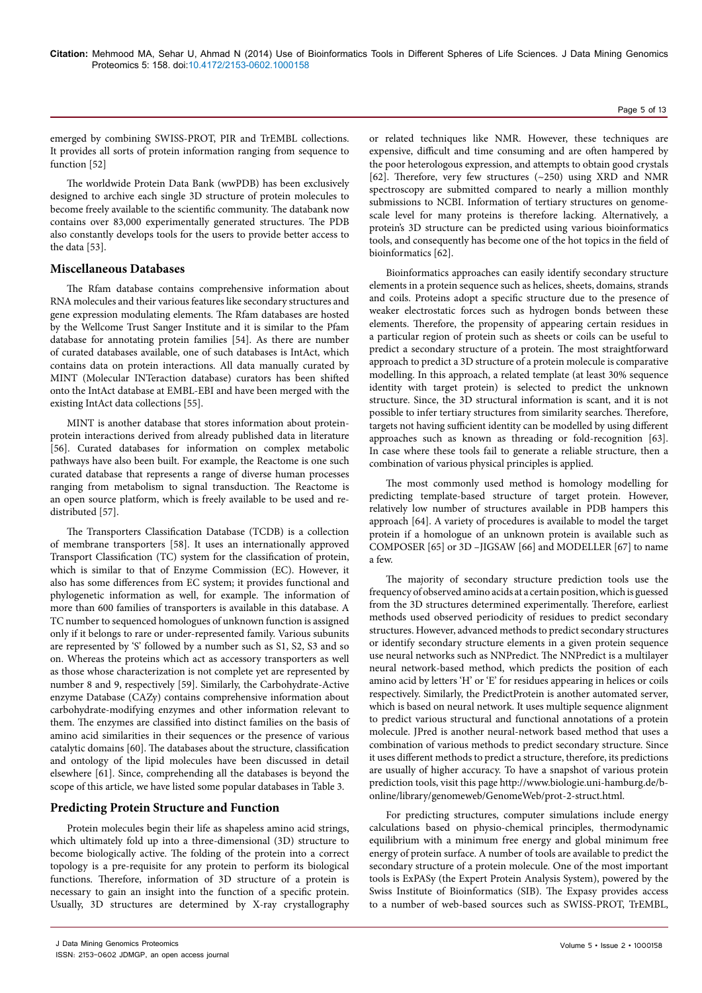## Page 5 of 13

emerged by combining SWISS-PROT, PIR and TrEMBL collections. It provides all sorts of protein information ranging from sequence to function [52]

The worldwide Protein Data Bank (wwPDB) has been exclusively designed to archive each single 3D structure of protein molecules to become freely available to the scientific community. The databank now contains over 83,000 experimentally generated structures. The PDB also constantly develops tools for the users to provide better access to the data [53].

## **Miscellaneous Databases**

The Rfam database contains comprehensive information about RNA molecules and their various features like secondary structures and gene expression modulating elements. The Rfam databases are hosted by the Wellcome Trust Sanger Institute and it is similar to the Pfam database for annotating protein families [54]. As there are number of curated databases available, one of such databases is IntAct, which contains data on protein interactions. All data manually curated by MINT (Molecular INTeraction database) curators has been shifted onto the IntAct database at EMBL-EBI and have been merged with the existing IntAct data collections [55].

MINT is another database that stores information about proteinprotein interactions derived from already published data in literature [56]. Curated databases for information on complex metabolic pathways have also been built. For example, the Reactome is one such curated database that represents a range of diverse human processes ranging from metabolism to signal transduction. The Reactome is an open source platform, which is freely available to be used and redistributed [57].

The Transporters Classification Database (TCDB) is a collection of membrane transporters [58]. It uses an internationally approved Transport Classification (TC) system for the classification of protein, which is similar to that of Enzyme Commission (EC). However, it also has some differences from EC system; it provides functional and phylogenetic information as well, for example. The information of more than 600 families of transporters is available in this database. A TC number to sequenced homologues of unknown function is assigned only if it belongs to rare or under-represented family. Various subunits are represented by 'S' followed by a number such as S1, S2, S3 and so on. Whereas the proteins which act as accessory transporters as well as those whose characterization is not complete yet are represented by number 8 and 9, respectively [59]. Similarly, the Carbohydrate-Active enzyme Database (CAZy) contains comprehensive information about carbohydrate-modifying enzymes and other information relevant to them. The enzymes are classified into distinct families on the basis of amino acid similarities in their sequences or the presence of various catalytic domains [60]. The databases about the structure, classification and ontology of the lipid molecules have been discussed in detail elsewhere [61]. Since, comprehending all the databases is beyond the scope of this article, we have listed some popular databases in Table 3.

## **Predicting Protein Structure and Function**

Protein molecules begin their life as shapeless amino acid strings, which ultimately fold up into a three-dimensional (3D) structure to become biologically active. The folding of the protein into a correct topology is a pre-requisite for any protein to perform its biological functions. Therefore, information of 3D structure of a protein is necessary to gain an insight into the function of a specific protein. Usually, 3D structures are determined by X-ray crystallography

or related techniques like NMR. However, these techniques are expensive, difficult and time consuming and are often hampered by the poor heterologous expression, and attempts to obtain good crystals [62]. Therefore, very few structures (~250) using XRD and NMR spectroscopy are submitted compared to nearly a million monthly submissions to NCBI. Information of tertiary structures on genomescale level for many proteins is therefore lacking. Alternatively, a protein's 3D structure can be predicted using various bioinformatics tools, and consequently has become one of the hot topics in the field of bioinformatics [62].

Bioinformatics approaches can easily identify secondary structure elements in a protein sequence such as helices, sheets, domains, strands and coils. Proteins adopt a specific structure due to the presence of weaker electrostatic forces such as hydrogen bonds between these elements. Therefore, the propensity of appearing certain residues in a particular region of protein such as sheets or coils can be useful to predict a secondary structure of a protein. The most straightforward approach to predict a 3D structure of a protein molecule is comparative modelling. In this approach, a related template (at least 30% sequence identity with target protein) is selected to predict the unknown structure. Since, the 3D structural information is scant, and it is not possible to infer tertiary structures from similarity searches. Therefore, targets not having sufficient identity can be modelled by using different approaches such as known as threading or fold-recognition [63]. In case where these tools fail to generate a reliable structure, then a combination of various physical principles is applied.

The most commonly used method is homology modelling for predicting template-based structure of target protein. However, relatively low number of structures available in PDB hampers this approach [64]. A variety of procedures is available to model the target protein if a homologue of an unknown protein is available such as COMPOSER [65] or 3D –JIGSAW [66] and MODELLER [67] to name a few.

The majority of secondary structure prediction tools use the frequency of observed amino acids at a certain position, which is guessed from the 3D structures determined experimentally. Therefore, earliest methods used observed periodicity of residues to predict secondary structures. However, advanced methods to predict secondary structures or identify secondary structure elements in a given protein sequence use neural networks such as NNPredict. The NNPredict is a multilayer neural network-based method, which predicts the position of each amino acid by letters 'H' or 'E' for residues appearing in helices or coils respectively. Similarly, the PredictProtein is another automated server, which is based on neural network. It uses multiple sequence alignment to predict various structural and functional annotations of a protein molecule. JPred is another neural-network based method that uses a combination of various methods to predict secondary structure. Since it uses different methods to predict a structure, therefore, its predictions are usually of higher accuracy. To have a snapshot of various protein prediction tools, visit this page [http://www.biologie.uni-hamburg.de/b](http://www.biologie.uni-hamburg.de/b-online/library/genomeweb/GenomeWeb/prot-2-struct.html)[online/library/genomeweb/GenomeWeb/prot-2-struct.html.](http://www.biologie.uni-hamburg.de/b-online/library/genomeweb/GenomeWeb/prot-2-struct.html)

For predicting structures, computer simulations include energy calculations based on physio-chemical principles, thermodynamic equilibrium with a minimum free energy and global minimum free energy of protein surface. A number of tools are available to predict the secondary structure of a protein molecule. One of the most important tools is ExPASy (the Expert Protein Analysis System), powered by the Swiss Institute of Bioinformatics (SIB). The Expasy provides access to a number of web-based sources such as SWISS-PROT, TrEMBL,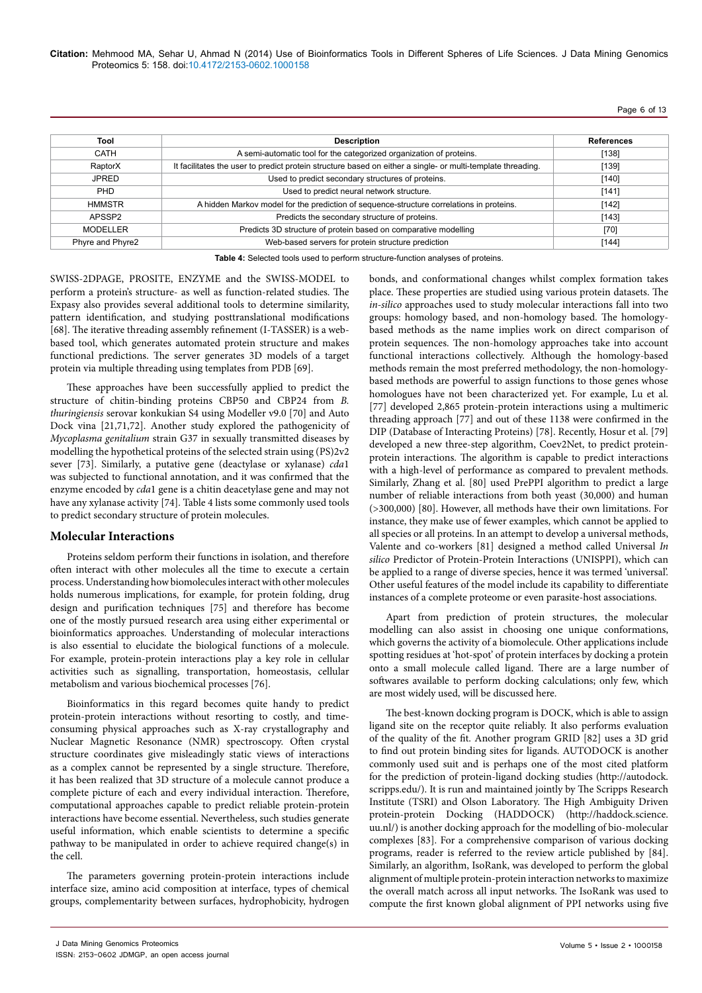## Page 6 of 13

| Tool             | <b>Description</b>                                                                                          | References |
|------------------|-------------------------------------------------------------------------------------------------------------|------------|
| CATH             | A semi-automatic tool for the categorized organization of proteins.                                         | [138]      |
| RaptorX          | It facilitates the user to predict protein structure based on either a single- or multi-template threading. | [139]      |
| JPRED            | Used to predict secondary structures of proteins.                                                           | [140]      |
| <b>PHD</b>       | Used to predict neural network structure.                                                                   | [141]      |
| <b>HMMSTR</b>    | A hidden Markov model for the prediction of sequence-structure correlations in proteins.                    | [142]      |
| APSSP2           | Predicts the secondary structure of proteins.                                                               | [143]      |
| MODELLER         | Predicts 3D structure of protein based on comparative modelling                                             | $[70]$     |
| Phyre and Phyre2 | Web-based servers for protein structure prediction                                                          | [144]      |

**Table 4:** Selected tools used to perform structure-function analyses of proteins.

SWISS-2DPAGE, PROSITE, ENZYME and the SWISS-MODEL to perform a protein's structure- as well as function-related studies. The Expasy also provides several additional tools to determine similarity, pattern identification, and studying posttranslational modifications [68]. The iterative threading assembly refinement (I-TASSER) is a webbased tool, which generates automated protein structure and makes functional predictions. The server generates 3D models of a target protein via multiple threading using templates from PDB [69].

These approaches have been successfully applied to predict the structure of chitin-binding proteins CBP50 and CBP24 from *B. thuringiensis* serovar konkukian S4 using Modeller v9.0 [70] and Auto Dock vina [21,71,72]. Another study explored the pathogenicity of *Mycoplasma genitalium* strain G37 in sexually transmitted diseases by modelling the hypothetical proteins of the selected strain using (PS)2v2 sever [73]. Similarly, a putative gene (deactylase or xylanase) *cda*1 was subjected to functional annotation, and it was confirmed that the enzyme encoded by *cda*1 gene is a chitin deacetylase gene and may not have any xylanase activity [74]. Table 4 lists some commonly used tools to predict secondary structure of protein molecules.

## **Molecular Interactions**

Proteins seldom perform their functions in isolation, and therefore often interact with other molecules all the time to execute a certain process. Understanding how biomolecules interact with other molecules holds numerous implications, for example, for protein folding, drug design and purification techniques [75] and therefore has become one of the mostly pursued research area using either experimental or bioinformatics approaches. Understanding of molecular interactions is also essential to elucidate the biological functions of a molecule. For example, protein-protein interactions play a key role in cellular activities such as signalling, transportation, homeostasis, cellular metabolism and various biochemical processes [76].

Bioinformatics in this regard becomes quite handy to predict protein-protein interactions without resorting to costly, and timeconsuming physical approaches such as X-ray crystallography and Nuclear Magnetic Resonance (NMR) spectroscopy. Often crystal structure coordinates give misleadingly static views of interactions as a complex cannot be represented by a single structure. Therefore, it has been realized that 3D structure of a molecule cannot produce a complete picture of each and every individual interaction. Therefore, computational approaches capable to predict reliable protein-protein interactions have become essential. Nevertheless, such studies generate useful information, which enable scientists to determine a specific pathway to be manipulated in order to achieve required change(s) in the cell.

The parameters governing protein-protein interactions include interface size, amino acid composition at interface, types of chemical groups, complementarity between surfaces, hydrophobicity, hydrogen

bonds, and conformational changes whilst complex formation takes place. These properties are studied using various protein datasets. The *in-silico* approaches used to study molecular interactions fall into two groups: homology based, and non-homology based. The homologybased methods as the name implies work on direct comparison of protein sequences. The non-homology approaches take into account functional interactions collectively. Although the homology-based methods remain the most preferred methodology, the non-homologybased methods are powerful to assign functions to those genes whose homologues have not been characterized yet. For example, Lu et al. [77] developed 2,865 protein-protein interactions using a multimeric threading approach [77] and out of these 1138 were confirmed in the DIP (Database of Interacting Proteins) [78]. Recently, Hosur et al. [79] developed a new three-step algorithm, Coev2Net, to predict proteinprotein interactions. The algorithm is capable to predict interactions with a high-level of performance as compared to prevalent methods. Similarly, Zhang et al. [80] used PrePPI algorithm to predict a large number of reliable interactions from both yeast (30,000) and human (>300,000) [80]. However, all methods have their own limitations. For instance, they make use of fewer examples, which cannot be applied to all species or all proteins. In an attempt to develop a universal methods, Valente and co-workers [81] designed a method called Universal *In silico* Predictor of Protein-Protein Interactions (UNISPPI), which can be applied to a range of diverse species, hence it was termed 'universal'. Other useful features of the model include its capability to differentiate instances of a complete proteome or even parasite-host associations.

Apart from prediction of protein structures, the molecular modelling can also assist in choosing one unique conformations, which governs the activity of a biomolecule. Other applications include spotting residues at 'hot-spot' of protein interfaces by docking a protein onto a small molecule called ligand. There are a large number of softwares available to perform docking calculations; only few, which are most widely used, will be discussed here.

The best-known docking program is DOCK, which is able to assign ligand site on the receptor quite reliably. It also performs evaluation of the quality of the fit. Another program GRID [82] uses a 3D grid to find out protein binding sites for ligands. AUTODOCK is another commonly used suit and is perhaps one of the most cited platform for the prediction of protein-ligand docking studies (http://autodock. scripps.edu/). It is run and maintained jointly by The Scripps Research Institute (TSRI) and Olson Laboratory. The High Ambiguity Driven protein-protein Docking (HADDOCK) (http://haddock.science. uu.nl/) is another docking approach for the modelling of bio-molecular complexes [83]. For a comprehensive comparison of various docking programs, reader is referred to the review article published by [84]. Similarly, an algorithm, IsoRank, was developed to perform the global alignment of multiple protein-protein interaction networks to maximize the overall match across all input networks. The IsoRank was used to compute the first known global alignment of PPI networks using five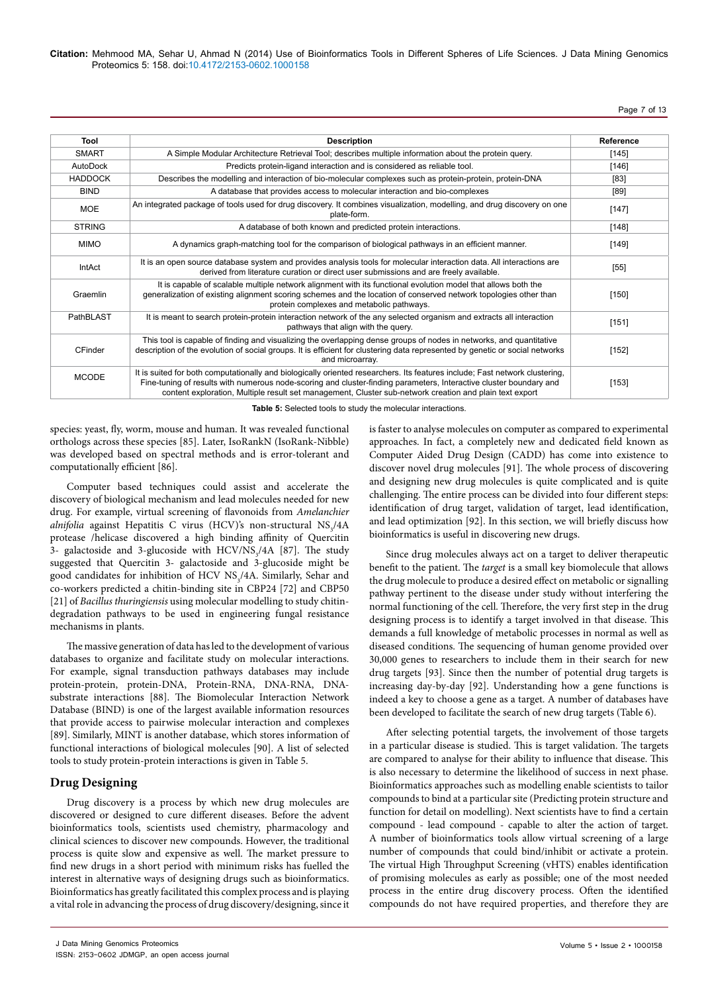## Page 7 of 13

| Tool           | <b>Description</b>                                                                                                                                                                                                                                                                                                                                           | Reference |
|----------------|--------------------------------------------------------------------------------------------------------------------------------------------------------------------------------------------------------------------------------------------------------------------------------------------------------------------------------------------------------------|-----------|
| <b>SMART</b>   | A Simple Modular Architecture Retrieval Tool; describes multiple information about the protein query.                                                                                                                                                                                                                                                        | [145]     |
| AutoDock       | Predicts protein-ligand interaction and is considered as reliable tool.                                                                                                                                                                                                                                                                                      | [146]     |
| <b>HADDOCK</b> | Describes the modelling and interaction of bio-molecular complexes such as protein-protein, protein-DNA                                                                                                                                                                                                                                                      | $[83]$    |
| <b>BIND</b>    | A database that provides access to molecular interaction and bio-complexes                                                                                                                                                                                                                                                                                   | [89]      |
| <b>MOE</b>     | An integrated package of tools used for drug discovery. It combines visualization, modelling, and drug discovery on one<br>plate-form.                                                                                                                                                                                                                       | [147]     |
| <b>STRING</b>  | A database of both known and predicted protein interactions.                                                                                                                                                                                                                                                                                                 | [148]     |
| <b>MIMO</b>    | A dynamics graph-matching tool for the comparison of biological pathways in an efficient manner.                                                                                                                                                                                                                                                             | [149]     |
| IntAct         | It is an open source database system and provides analysis tools for molecular interaction data. All interactions are<br>derived from literature curation or direct user submissions and are freely available.                                                                                                                                               | $[55]$    |
| Graemlin       | It is capable of scalable multiple network alignment with its functional evolution model that allows both the<br>generalization of existing alignment scoring schemes and the location of conserved network topologies other than<br>protein complexes and metabolic pathways.                                                                               | [150]     |
| PathBLAST      | It is meant to search protein-protein interaction network of the any selected organism and extracts all interaction<br>pathways that align with the query.                                                                                                                                                                                                   | [151]     |
| CFinder        | This tool is capable of finding and visualizing the overlapping dense groups of nodes in networks, and quantitative<br>description of the evolution of social groups. It is efficient for clustering data represented by genetic or social networks<br>and microarray.                                                                                       | [152]     |
| <b>MCODE</b>   | It is suited for both computationally and biologically oriented researchers. Its features include; Fast network clustering,<br>Fine-tuning of results with numerous node-scoring and cluster-finding parameters, Interactive cluster boundary and<br>content exploration, Multiple result set management, Cluster sub-network creation and plain text export | [153]     |

**Table 5:** Selected tools to study the molecular interactions.

species: yeast, fly, worm, mouse and human. It was revealed functional orthologs across these species [85]. Later, IsoRankN (IsoRank-Nibble) was developed based on spectral methods and is error-tolerant and computationally efficient [86].

Computer based techniques could assist and accelerate the discovery of biological mechanism and lead molecules needed for new drug. For example, virtual screening of flavonoids from *Amelanchier*  alnifolia against Hepatitis C virus (HCV)'s non-structural NS<sub>3</sub>/4A protease /helicase discovered a high binding affinity of Quercitin 3- galactoside and 3-glucoside with  $HCV/NS_{3}/4A$  [87]. The study suggested that Quercitin 3- galactoside and 3-glucoside might be good candidates for inhibition of  $HCV$   $NS_{3}/4A$ . Similarly, Sehar and co-workers predicted a chitin-binding site in CBP24 [72] and CBP50 [21] of *Bacillus thuringiensis* using molecular modelling to study chitindegradation pathways to be used in engineering fungal resistance mechanisms in plants.

The massive generation of data has led to the development of various databases to organize and facilitate study on molecular interactions. For example, signal transduction pathways databases may include protein-protein, protein-DNA, Protein-RNA, DNA-RNA, DNAsubstrate interactions [88]. The Biomolecular Interaction Network Database (BIND) is one of the largest available information resources that provide access to pairwise molecular interaction and complexes [89]. Similarly, MINT is another database, which stores information of functional interactions of biological molecules [90]. A list of selected tools to study protein-protein interactions is given in Table 5.

## **Drug Designing**

Drug discovery is a process by which new drug molecules are discovered or designed to cure different diseases. Before the advent bioinformatics tools, scientists used chemistry, pharmacology and clinical sciences to discover new compounds. However, the traditional process is quite slow and expensive as well. The market pressure to find new drugs in a short period with minimum risks has fuelled the interest in alternative ways of designing drugs such as bioinformatics. Bioinformatics has greatly facilitated this complex process and is playing a vital role in advancing the process of drug discovery/designing, since it

is faster to analyse molecules on computer as compared to experimental approaches. In fact, a completely new and dedicated field known as Computer Aided Drug Design (CADD) has come into existence to discover novel drug molecules [91]. The whole process of discovering and designing new drug molecules is quite complicated and is quite challenging. The entire process can be divided into four different steps: identification of drug target, validation of target, lead identification, and lead optimization [92]. In this section, we will briefly discuss how bioinformatics is useful in discovering new drugs.

Since drug molecules always act on a target to deliver therapeutic benefit to the patient. The *target* is a small key biomolecule that allows the drug molecule to produce a desired effect on metabolic or signalling pathway pertinent to the disease under study without interfering the normal functioning of the cell. Therefore, the very first step in the drug designing process is to identify a target involved in that disease. This demands a full knowledge of metabolic processes in normal as well as diseased conditions. The sequencing of human genome provided over 30,000 genes to researchers to include them in their search for new drug targets [93]. Since then the number of potential drug targets is increasing day-by-day [92]. Understanding how a gene functions is indeed a key to choose a gene as a target. A number of databases have been developed to facilitate the search of new drug targets (Table 6).

After selecting potential targets, the involvement of those targets in a particular disease is studied. This is target validation. The targets are compared to analyse for their ability to influence that disease. This is also necessary to determine the likelihood of success in next phase. Bioinformatics approaches such as modelling enable scientists to tailor compounds to bind at a particular site (Predicting protein structure and function for detail on modelling). Next scientists have to find a certain compound - lead compound - capable to alter the action of target. A number of bioinformatics tools allow virtual screening of a large number of compounds that could bind/inhibit or activate a protein. The virtual High Throughput Screening (vHTS) enables identification of promising molecules as early as possible; one of the most needed process in the entire drug discovery process. Often the identified compounds do not have required properties, and therefore they are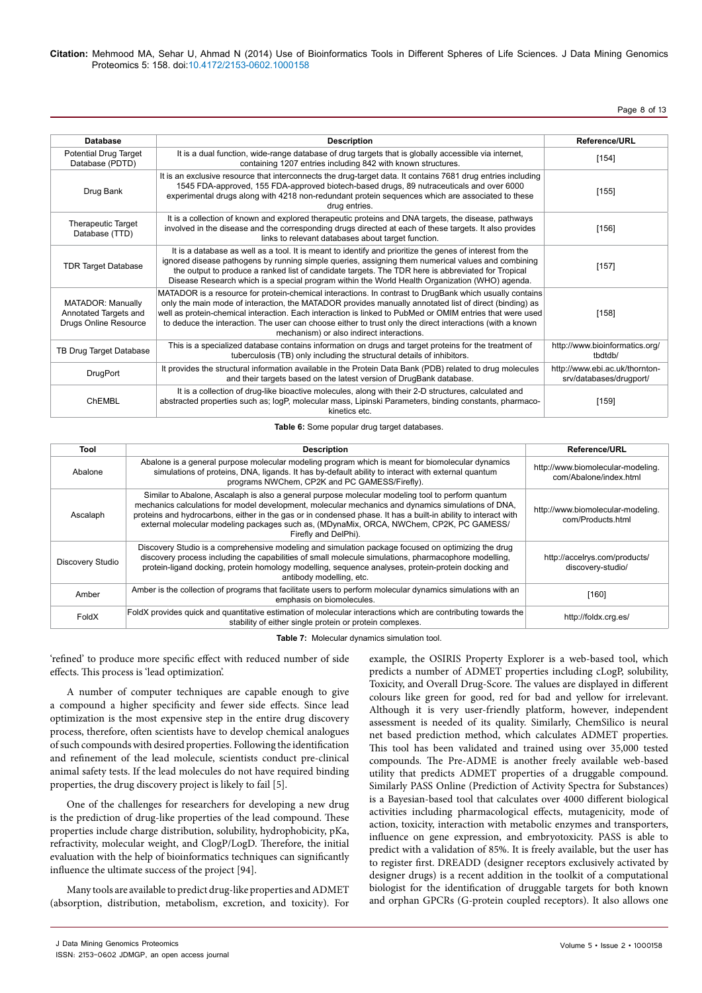## Page 8 of 13

| <b>Database</b>                                                            | <b>Description</b>                                                                                                                                                                                                                                                                                                                                                                                                                                                                       | <b>Reference/URL</b>                                      |
|----------------------------------------------------------------------------|------------------------------------------------------------------------------------------------------------------------------------------------------------------------------------------------------------------------------------------------------------------------------------------------------------------------------------------------------------------------------------------------------------------------------------------------------------------------------------------|-----------------------------------------------------------|
| <b>Potential Drug Target</b><br>Database (PDTD)                            | It is a dual function, wide-range database of drug targets that is globally accessible via internet,<br>containing 1207 entries including 842 with known structures.                                                                                                                                                                                                                                                                                                                     | [154]                                                     |
| Drug Bank                                                                  | It is an exclusive resource that interconnects the drug-target data. It contains 7681 drug entries including<br>1545 FDA-approved, 155 FDA-approved biotech-based drugs, 89 nutraceuticals and over 6000<br>experimental drugs along with 4218 non-redundant protein sequences which are associated to these<br>drug entries.                                                                                                                                                            | [155]                                                     |
| <b>Therapeutic Target</b><br>Database (TTD)                                | It is a collection of known and explored therapeutic proteins and DNA targets, the disease, pathways<br>involved in the disease and the corresponding drugs directed at each of these targets. It also provides<br>links to relevant databases about target function.                                                                                                                                                                                                                    | [156]                                                     |
| <b>TDR Target Database</b>                                                 | It is a database as well as a tool. It is meant to identify and prioritize the genes of interest from the<br>ignored disease pathogens by running simple queries, assigning them numerical values and combining<br>the output to produce a ranked list of candidate targets. The TDR here is abbreviated for Tropical<br>Disease Research which is a special program within the World Health Organization (WHO) agenda.                                                                  | [157]                                                     |
| <b>MATADOR: Manually</b><br>Annotated Targets and<br>Drugs Online Resource | MATADOR is a resource for protein-chemical interactions. In contrast to DrugBank which usually contains<br>only the main mode of interaction, the MATADOR provides manually annotated list of direct (binding) as<br>well as protein-chemical interaction. Each interaction is linked to PubMed or OMIM entries that were used<br>to deduce the interaction. The user can choose either to trust only the direct interactions (with a known<br>mechanism) or also indirect interactions. | [158]                                                     |
| TB Drug Target Database                                                    | This is a specialized database contains information on drugs and target proteins for the treatment of<br>tuberculosis (TB) only including the structural details of inhibitors.                                                                                                                                                                                                                                                                                                          | http://www.bioinformatics.org/<br>tbdtdb/                 |
| DrugPort                                                                   | It provides the structural information available in the Protein Data Bank (PDB) related to drug molecules<br>and their targets based on the latest version of DrugBank database.                                                                                                                                                                                                                                                                                                         | http://www.ebi.ac.uk/thornton-<br>srv/databases/drugport/ |
| ChEMBL                                                                     | It is a collection of drug-like bioactive molecules, along with their 2-D structures, calculated and<br>abstracted properties such as; logP, molecular mass, Lipinski Parameters, binding constants, pharmaco-<br>kinetics etc.                                                                                                                                                                                                                                                          | [159]                                                     |

#### **Table 6:** Some popular drug target databases.

| Tool             | <b>Description</b>                                                                                                                                                                                                                                                                                                                                                                                                                           | <b>Reference/URL</b>                                        |
|------------------|----------------------------------------------------------------------------------------------------------------------------------------------------------------------------------------------------------------------------------------------------------------------------------------------------------------------------------------------------------------------------------------------------------------------------------------------|-------------------------------------------------------------|
| Abalone          | Abalone is a general purpose molecular modeling program which is meant for biomolecular dynamics<br>simulations of proteins, DNA, ligands. It has by-default ability to interact with external quantum<br>programs NWChem, CP2K and PC GAMESS/Firefly).                                                                                                                                                                                      | http://www.biomolecular-modeling.<br>com/Abalone/index.html |
| Ascalaph         | Similar to Abalone, Ascalaph is also a general purpose molecular modeling tool to perform quantum<br>mechanics calculations for model development, molecular mechanics and dynamics simulations of DNA,<br>proteins and hydrocarbons, either in the gas or in condensed phase. It has a built-in ability to interact with<br>external molecular modeling packages such as, (MDynaMix, ORCA, NWChem, CP2K, PC GAMESS/<br>Firefly and DelPhi). | http://www.biomolecular-modeling.<br>com/Products.html      |
| Discovery Studio | Discovery Studio is a comprehensive modeling and simulation package focused on optimizing the drug<br>discovery process including the capabilities of small molecule simulations, pharmacophore modelling,<br>protein-ligand docking, protein homology modelling, sequence analyses, protein-protein docking and<br>antibody modelling, etc.                                                                                                 | http://accelrys.com/products/<br>discovery-studio/          |
| Amber            | Amber is the collection of programs that facilitate users to perform molecular dynamics simulations with an<br>emphasis on biomolecules.                                                                                                                                                                                                                                                                                                     | [160]                                                       |
| FoldX            | FoldX provides quick and quantitative estimation of molecular interactions which are contributing towards the<br>stability of either single protein or protein complexes.                                                                                                                                                                                                                                                                    | http://foldx.crg.es/                                        |

**Table 7:** Molecular dynamics simulation tool.

'refined' to produce more specific effect with reduced number of side effects. This process is 'lead optimization'.

A number of computer techniques are capable enough to give a compound a higher specificity and fewer side effects. Since lead optimization is the most expensive step in the entire drug discovery process, therefore, often scientists have to develop chemical analogues of such compounds with desired properties. Following the identification and refinement of the lead molecule, scientists conduct pre-clinical animal safety tests. If the lead molecules do not have required binding properties, the drug discovery project is likely to fail [5].

One of the challenges for researchers for developing a new drug is the prediction of drug-like properties of the lead compound. These properties include charge distribution, solubility, hydrophobicity, pKa, refractivity, molecular weight, and ClogP/LogD. Therefore, the initial evaluation with the help of bioinformatics techniques can significantly influence the ultimate success of the project [94].

Many tools are available to predict drug-like properties and ADMET (absorption, distribution, metabolism, excretion, and toxicity). For

example, the OSIRIS Property Explorer is a web-based tool, which predicts a number of ADMET properties including cLogP, solubility, Toxicity, and Overall Drug-Score. The values are displayed in different colours like green for good, red for bad and yellow for irrelevant. Although it is very user-friendly platform, however, independent assessment is needed of its quality. Similarly, ChemSilico is neural net based prediction method, which calculates ADMET properties. This tool has been validated and trained using over 35,000 tested compounds. The Pre-ADME is another freely available web-based utility that predicts ADMET properties of a druggable compound. Similarly PASS Online (Prediction of Activity Spectra for Substances) is a Bayesian-based tool that calculates over 4000 different biological activities including pharmacological effects, mutagenicity, mode of action, toxicity, interaction with metabolic enzymes and transporters, influence on gene expression, and embryotoxicity. PASS is able to predict with a validation of 85%. It is freely available, but the user has to register first. DREADD (designer receptors exclusively activated by designer drugs) is a recent addition in the toolkit of a computational biologist for the identification of druggable targets for both known and orphan GPCRs (G-protein coupled receptors). It also allows one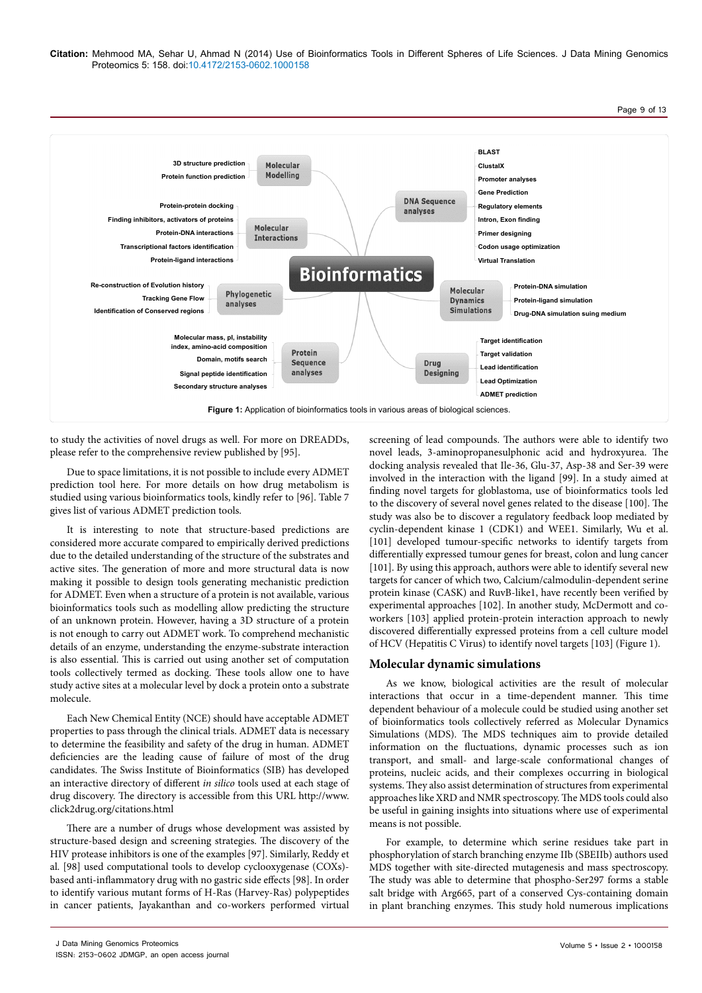Page 9 of 13



to study the activities of novel drugs as well. For more on DREADDs, please refer to the comprehensive review published by [95].

Due to space limitations, it is not possible to include every ADMET prediction tool here. For more details on how drug metabolism is studied using various bioinformatics tools, kindly refer to [96]. Table 7 gives list of various ADMET prediction tools.

It is interesting to note that structure-based predictions are considered more accurate compared to empirically derived predictions due to the detailed understanding of the structure of the substrates and active sites. The generation of more and more structural data is now making it possible to design tools generating mechanistic prediction for ADMET. Even when a structure of a protein is not available, various bioinformatics tools such as modelling allow predicting the structure of an unknown protein. However, having a 3D structure of a protein is not enough to carry out ADMET work. To comprehend mechanistic details of an enzyme, understanding the enzyme-substrate interaction is also essential. This is carried out using another set of computation tools collectively termed as docking. These tools allow one to have study active sites at a molecular level by dock a protein onto a substrate molecule.

Each New Chemical Entity (NCE) should have acceptable ADMET properties to pass through the clinical trials. ADMET data is necessary to determine the feasibility and safety of the drug in human. ADMET deficiencies are the leading cause of failure of most of the drug candidates. The Swiss Institute of Bioinformatics (SIB) has developed an interactive directory of different *in silico* tools used at each stage of drug discovery. The directory is accessible from this URL [http://www.](http://www.click2drug.org/citations.html) [click2drug.org/citations.html](http://www.click2drug.org/citations.html)

There are a number of drugs whose development was assisted by structure-based design and screening strategies. The discovery of the HIV protease inhibitors is one of the examples [97]. Similarly, Reddy et al. [98] used computational tools to develop cyclooxygenase (COXs) based anti-inflammatory drug with no gastric side effects [98]. In order to identify various mutant forms of H-Ras (Harvey-Ras) polypeptides in cancer patients, Jayakanthan and co-workers performed virtual

screening of lead compounds. The authors were able to identify two novel leads, 3-aminopropanesulphonic acid and hydroxyurea. The docking analysis revealed that Ile-36, Glu-37, Asp-38 and Ser-39 were involved in the interaction with the ligand [99]. In a study aimed at finding novel targets for globlastoma, use of bioinformatics tools led to the discovery of several novel genes related to the disease [100]. The study was also be to discover a regulatory feedback loop mediated by cyclin-dependent kinase 1 (CDK1) and WEE1. Similarly, Wu et al. [101] developed tumour-specific networks to identify targets from differentially expressed tumour genes for breast, colon and lung cancer [101]. By using this approach, authors were able to identify several new targets for cancer of which two, Calcium/calmodulin-dependent serine protein kinase (CASK) and RuvB-like1, have recently been verified by experimental approaches [102]. In another study, McDermott and coworkers [103] applied protein-protein interaction approach to newly discovered differentially expressed proteins from a cell culture model of HCV (Hepatitis C Virus) to identify novel targets [103] (Figure 1).

## **Molecular dynamic simulations**

As we know, biological activities are the result of molecular interactions that occur in a time-dependent manner. This time dependent behaviour of a molecule could be studied using another set of bioinformatics tools collectively referred as Molecular Dynamics Simulations (MDS). The MDS techniques aim to provide detailed information on the fluctuations, dynamic processes such as ion transport, and small- and large-scale conformational changes of proteins, nucleic acids, and their complexes occurring in biological systems. They also assist determination of structures from experimental approaches like XRD and NMR spectroscopy. The MDS tools could also be useful in gaining insights into situations where use of experimental means is not possible.

For example, to determine which serine residues take part in phosphorylation of starch branching enzyme IIb (SBEIIb) authors used MDS together with site-directed mutagenesis and mass spectroscopy. The study was able to determine that phospho-Ser297 forms a stable salt bridge with Arg665, part of a conserved Cys-containing domain in plant branching enzymes. This study hold numerous implications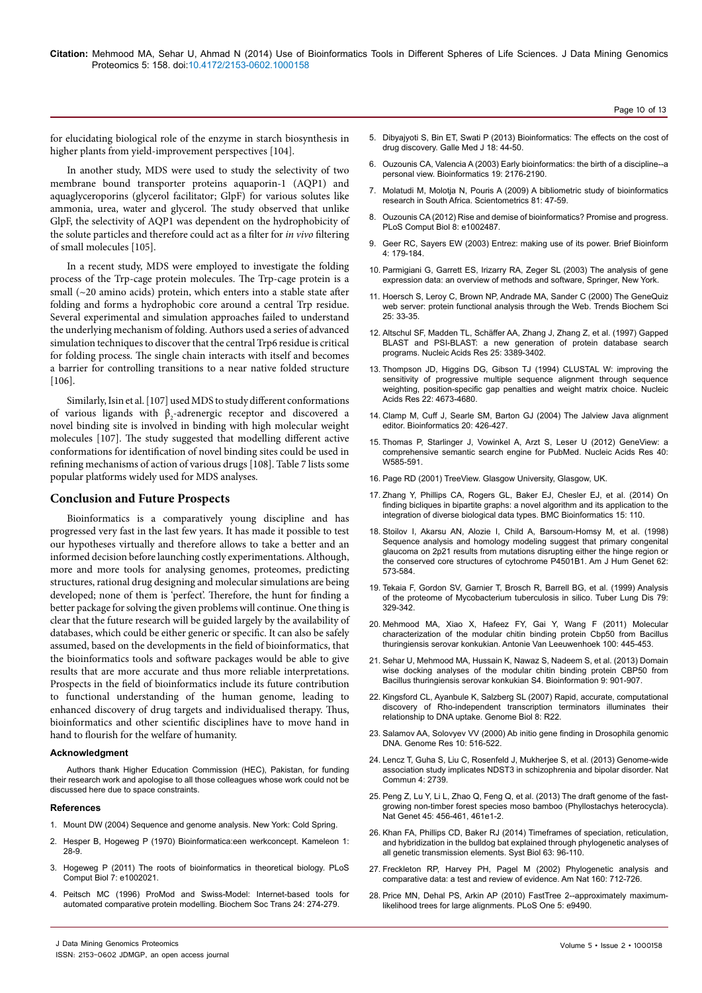for elucidating biological role of the enzyme in starch biosynthesis in higher plants from yield-improvement perspectives [104].

In another study, MDS were used to study the selectivity of two membrane bound transporter proteins aquaporin-1 (AQP1) and aquaglyceroporins (glycerol facilitator; GlpF) for various solutes like ammonia, urea, water and glycerol. The study observed that unlike GlpF, the selectivity of AQP1 was dependent on the hydrophobicity of the solute particles and therefore could act as a filter for *in vivo* filtering of small molecules [105].

In a recent study, MDS were employed to investigate the folding process of the Trp-cage protein molecules. The Trp-cage protein is a small (~20 amino acids) protein, which enters into a stable state after folding and forms a hydrophobic core around a central Trp residue. Several experimental and simulation approaches failed to understand the underlying mechanism of folding. Authors used a series of advanced simulation techniques to discover that the central Trp6 residue is critical for folding process. The single chain interacts with itself and becomes a barrier for controlling transitions to a near native folded structure [106].

Similarly, Isin et al. [107] used MDS to study different conformations of various ligands with  $\beta_2$ -adrenergic receptor and discovered a novel binding site is involved in binding with high molecular weight molecules [107]. The study suggested that modelling different active conformations for identification of novel binding sites could be used in refining mechanisms of action of various drugs [108]. Table 7 lists some popular platforms widely used for MDS analyses.

## **Conclusion and Future Prospects**

Bioinformatics is a comparatively young discipline and has progressed very fast in the last few years. It has made it possible to test our hypotheses virtually and therefore allows to take a better and an informed decision before launching costly experimentations. Although, more and more tools for analysing genomes, proteomes, predicting structures, rational drug designing and molecular simulations are being developed; none of them is 'perfect'. Therefore, the hunt for finding a better package for solving the given problems will continue. One thing is clear that the future research will be guided largely by the availability of databases, which could be either generic or specific. It can also be safely assumed, based on the developments in the field of bioinformatics, that the bioinformatics tools and software packages would be able to give results that are more accurate and thus more reliable interpretations. Prospects in the field of bioinformatics include its future contribution to functional understanding of the human genome, leading to enhanced discovery of drug targets and individualised therapy. Thus, bioinformatics and other scientific disciplines have to move hand in hand to flourish for the welfare of humanity.

#### **Acknowledgment**

Authors thank Higher Education Commission (HEC), Pakistan, for funding their research work and apologise to all those colleagues whose work could not be discussed here due to space constraints.

## **References**

- 1. Mount DW (2004) Sequence and genome analysis. New York: Cold Spring.
- 2. Hesper B, Hogeweg P (1970) Bioinformatica:een werkconcept. Kameleon 1: 28-9.
- 3. [Hogeweg P \(2011\) The roots of bioinformatics in theoretical biology. PLoS](http://www.ncbi.nlm.nih.gov/pubmed/21483479) [Comput Biol 7: e1002021.](http://www.ncbi.nlm.nih.gov/pubmed/21483479)
- 4. [Peitsch MC \(1996\) ProMod and Swiss-Model: Internet-based tools for](http://www.ncbi.nlm.nih.gov/pubmed/8674685) [automated comparative protein modelling. Biochem Soc Trans 24: 274-279.](http://www.ncbi.nlm.nih.gov/pubmed/8674685)
- 5. Dibyajyoti S, Bin ET, Swati P (2013) Bioinformatics: The effects on the cost of drug discovery. Galle Med J 18: 44-50.
- 6. [Ouzounis CA, Valencia A \(2003\) Early bioinformatics: the birth of a discipline--a](http://www.ncbi.nlm.nih.gov/pubmed/14630646)  [personal view. Bioinformatics 19: 2176-2190.](http://www.ncbi.nlm.nih.gov/pubmed/14630646)
- 7. [Molatudi M, Molotja N, Pouris A \(2009\) A bibliometric study of bioinformatics](http://link.springer.com/article/10.1007%2Fs11192-007-2048-6)  [research in South Africa. Scientometrics 81: 47-59.](http://link.springer.com/article/10.1007%2Fs11192-007-2048-6)
- 8. [Ouzounis CA \(2012\) Rise and demise of bioinformatics? Promise and progress.](http://www.ncbi.nlm.nih.gov/pubmed/22570600)  [PLoS Comput Biol 8: e1002487.](http://www.ncbi.nlm.nih.gov/pubmed/22570600)
- 9. [Geer RC, Sayers EW \(2003\) Entrez: making use of its power. Brief Bioinform](http://www.ncbi.nlm.nih.gov/pubmed/12846398)  [4: 179-184.](http://www.ncbi.nlm.nih.gov/pubmed/12846398)
- 10. Parmigiani G, Garrett ES, Irizarry RA, Zeger SL (2003) The analysis of gene expression data: an overview of methods and software, Springer, New York.
- 11. [Hoersch S, Leroy C, Brown NP, Andrade MA, Sander C \(2000\) The GeneQuiz](http://www.ncbi.nlm.nih.gov/pubmed/10637611)  [web server: protein functional analysis through the Web. Trends Biochem Sci](http://www.ncbi.nlm.nih.gov/pubmed/10637611)  [25: 33-35.](http://www.ncbi.nlm.nih.gov/pubmed/10637611)
- 12. [Altschul SF, Madden TL, Schäffer AA, Zhang J, Zhang Z, et al. \(1997\) Gapped](http://www.ncbi.nlm.nih.gov/pubmed/9254694)  [BLAST and PSI-BLAST: a new generation of protein database search](http://www.ncbi.nlm.nih.gov/pubmed/9254694)  [programs. Nucleic Acids Res 25: 3389-3402.](http://www.ncbi.nlm.nih.gov/pubmed/9254694)
- 13. [Thompson JD, Higgins DG, Gibson TJ \(1994\) CLUSTAL W: improving the](http://www.ncbi.nlm.nih.gov/pubmed/7984417)  [sensitivity of progressive multiple sequence alignment through sequence](http://www.ncbi.nlm.nih.gov/pubmed/7984417)  [weighting, position-specific gap penalties and weight matrix choice. Nucleic](http://www.ncbi.nlm.nih.gov/pubmed/7984417)  [Acids Res 22: 4673-4680.](http://www.ncbi.nlm.nih.gov/pubmed/7984417)
- 14. [Clamp M, Cuff J, Searle SM, Barton GJ \(2004\) The Jalview Java alignment](http://www.ncbi.nlm.nih.gov/pubmed/14960472)  [editor. Bioinformatics 20: 426-427.](http://www.ncbi.nlm.nih.gov/pubmed/14960472)
- 15. [Thomas P, Starlinger J, Vowinkel A, Arzt S, Leser U \(2012\) GeneView: a](http://www.ncbi.nlm.nih.gov/pubmed/22693219)  [comprehensive semantic search engine for PubMed. Nucleic Acids Res 40:](http://www.ncbi.nlm.nih.gov/pubmed/22693219)  [W585-591.](http://www.ncbi.nlm.nih.gov/pubmed/22693219)
- 16. Page RD (2001) TreeView. Glasgow University, Glasgow, UK.
- 17. [Zhang Y, Phillips CA, Rogers GL, Baker EJ, Chesler EJ, et al. \(2014\) On](http://www.ncbi.nlm.nih.gov/pubmed/24731198)  [finding bicliques in bipartite graphs: a novel algorithm and its application to the](http://www.ncbi.nlm.nih.gov/pubmed/24731198)  [integration of diverse biological data types. BMC Bioinformatics 15: 110.](http://www.ncbi.nlm.nih.gov/pubmed/24731198)
- 18. [Stoilov I, Akarsu AN, Alozie I, Child A, Barsoum-Homsy M, et al. \(1998\)](http://www.ncbi.nlm.nih.gov/pubmed/9497261)  [Sequence analysis and homology modeling suggest that primary congenital](http://www.ncbi.nlm.nih.gov/pubmed/9497261)  [glaucoma on 2p21 results from mutations disrupting either the hinge region or](http://www.ncbi.nlm.nih.gov/pubmed/9497261)  [the conserved core structures of cytochrome P4501B1. Am J Hum Genet 62:](http://www.ncbi.nlm.nih.gov/pubmed/9497261)  [573-584.](http://www.ncbi.nlm.nih.gov/pubmed/9497261)
- 19. [Tekaia F, Gordon SV, Garnier T, Brosch R, Barrell BG, et al. \(1999\) Analysis](http://www.ncbi.nlm.nih.gov/pubmed/10694977)  [of the proteome of Mycobacterium tuberculosis in silico. Tuber Lung Dis 79:](http://www.ncbi.nlm.nih.gov/pubmed/10694977)  [329-342.](http://www.ncbi.nlm.nih.gov/pubmed/10694977)
- 20. [Mehmood MA, Xiao X, Hafeez FY, Gai Y, Wang F \(2011\) Molecular](http://www.ncbi.nlm.nih.gov/pubmed/21647612)  [characterization of the modular chitin binding protein Cbp50 from Bacillus](http://www.ncbi.nlm.nih.gov/pubmed/21647612)  [thuringiensis serovar konkukian. Antonie Van Leeuwenhoek 100: 445-453.](http://www.ncbi.nlm.nih.gov/pubmed/21647612)
- 21. [Sehar U, Mehmood MA, Hussain K, Nawaz S, Nadeem S, et al. \(2013\) Domain](http://www.ncbi.nlm.nih.gov/pubmed/24307767)  [wise docking analyses of the modular chitin binding protein CBP50 from](http://www.ncbi.nlm.nih.gov/pubmed/24307767)  [Bacillus thuringiensis serovar konkukian S4. Bioinformation 9: 901-907.](http://www.ncbi.nlm.nih.gov/pubmed/24307767)
- 22. [Kingsford CL, Ayanbule K, Salzberg SL \(2007\) Rapid, accurate, computational](http://www.ncbi.nlm.nih.gov/pubmed/17313685)  [discovery of Rho-independent transcription terminators illuminates their](http://www.ncbi.nlm.nih.gov/pubmed/17313685)  [relationship to DNA uptake. Genome Biol 8: R22.](http://www.ncbi.nlm.nih.gov/pubmed/17313685)
- 23. [Salamov AA, Solovyev VV \(2000\) Ab initio gene finding in Drosophila genomic](http://www.ncbi.nlm.nih.gov/pubmed/10779491)  [DNA. Genome Res 10: 516-522.](http://www.ncbi.nlm.nih.gov/pubmed/10779491)
- 24. [Lencz T, Guha S, Liu C, Rosenfeld J, Mukherjee S, et al. \(2013\) Genome-wide](http://www.ncbi.nlm.nih.gov/pubmed/24253340)  [association study implicates NDST3 in schizophrenia and bipolar disorder. Nat](http://www.ncbi.nlm.nih.gov/pubmed/24253340)  [Commun 4: 2739.](http://www.ncbi.nlm.nih.gov/pubmed/24253340)
- 25. [Peng Z, Lu Y, Li L, Zhao Q, Feng Q, et al. \(2013\) The draft genome of the fast](http://www.ncbi.nlm.nih.gov/pubmed/23435089)[growing non-timber forest species moso bamboo \(Phyllostachys heterocycla\).](http://www.ncbi.nlm.nih.gov/pubmed/23435089)  [Nat Genet 45: 456-461, 461e1-2.](http://www.ncbi.nlm.nih.gov/pubmed/23435089)
- 26. [Khan FA, Phillips CD, Baker RJ \(2014\) Timeframes of speciation, reticulation,](http://www.ncbi.nlm.nih.gov/pubmed/24149076)  [and hybridization in the bulldog bat explained through phylogenetic analyses of](http://www.ncbi.nlm.nih.gov/pubmed/24149076)  [all genetic transmission elements. Syst Biol 63: 96-110.](http://www.ncbi.nlm.nih.gov/pubmed/24149076)
- 27. [Freckleton RP, Harvey PH, Pagel M \(2002\) Phylogenetic analysis and](http://www.ncbi.nlm.nih.gov/pubmed/18707460)  [comparative data: a test and review of evidence. Am Nat 160: 712-726.](http://www.ncbi.nlm.nih.gov/pubmed/18707460)
- 28. [Price MN, Dehal PS, Arkin AP \(2010\) FastTree 2--approximately maximum](http://www.ncbi.nlm.nih.gov/pubmed/20224823)[likelihood trees for large alignments. PLoS One 5: e9490.](http://www.ncbi.nlm.nih.gov/pubmed/20224823)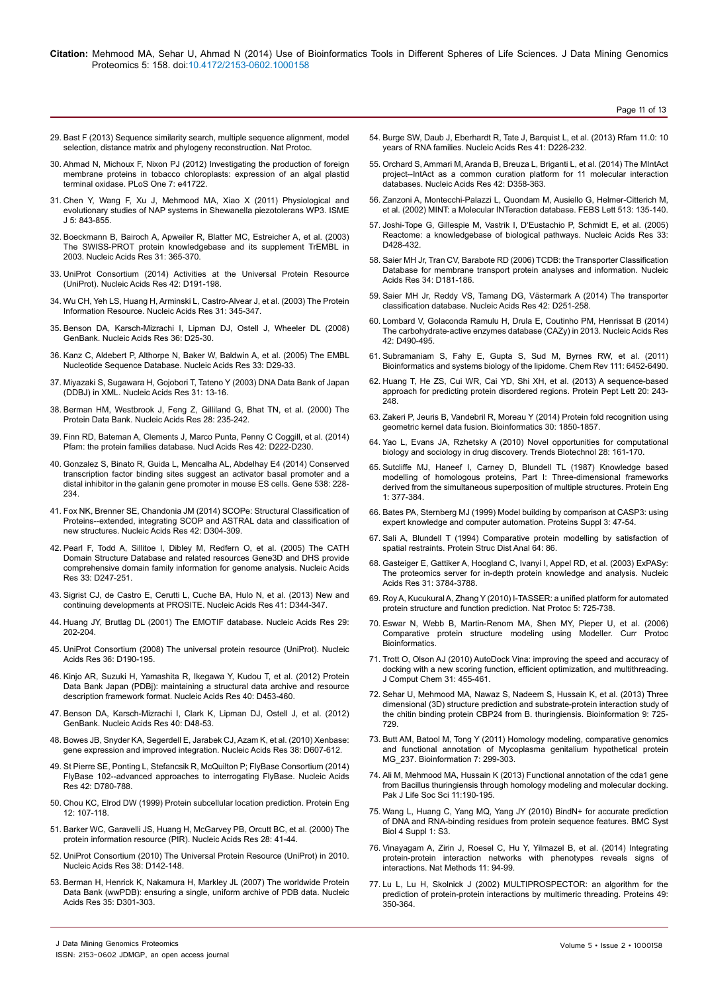- 29. [Bast F \(2013\) Sequence similarity search, multiple sequence alignment, model](http://www.nature.com/protocolexchange/protocols/2740) [selection, distance matrix and phylogeny reconstruction. Nat Protoc.](http://www.nature.com/protocolexchange/protocols/2740)
- 30. [Ahmad N, Michoux F, Nixon PJ \(2012\) Investigating the production of foreign](http://www.ncbi.nlm.nih.gov/pubmed/22848578) [membrane proteins in tobacco chloroplasts: expression of an algal plastid](http://www.ncbi.nlm.nih.gov/pubmed/22848578) [terminal oxidase. PLoS One 7: e41722.](http://www.ncbi.nlm.nih.gov/pubmed/22848578)
- 31. [Chen Y, Wang F, Xu J, Mehmood MA, Xiao X \(2011\) Physiological and](http://www.ncbi.nlm.nih.gov/pubmed/21124486) [evolutionary studies of NAP systems in Shewanella piezotolerans WP3. ISME](http://www.ncbi.nlm.nih.gov/pubmed/21124486)  $J 5.843 - 855$
- 32. [Boeckmann B, Bairoch A, Apweiler R, Blatter MC, Estreicher A, et al. \(2003\)](http://www.ncbi.nlm.nih.gov/pubmed/12520024) [The SWISS-PROT protein knowledgebase and its supplement TrEMBL in](http://www.ncbi.nlm.nih.gov/pubmed/12520024) [2003. Nucleic Acids Res 31: 365-370.](http://www.ncbi.nlm.nih.gov/pubmed/12520024)
- 33. [UniProt Consortium \(2014\) Activities at the Universal Protein Resource](http://www.ncbi.nlm.nih.gov/pubmed/24253303) [\(UniProt\). Nucleic Acids Res 42: D191-198.](http://www.ncbi.nlm.nih.gov/pubmed/24253303)
- 34. [Wu CH, Yeh LS, Huang H, Arminski L, Castro-Alvear J, et al. \(2003\) The Protein](http://www.ncbi.nlm.nih.gov/pubmed/12520019) [Information Resource. Nucleic Acids Res 31: 345-347.](http://www.ncbi.nlm.nih.gov/pubmed/12520019)
- 35. [Benson DA, Karsch-Mizrachi I, Lipman DJ, Ostell J, Wheeler DL \(2008\)](http://www.ncbi.nlm.nih.gov/pubmed/18073190) [GenBank. Nucleic Acids Res 36: D25-30.](http://www.ncbi.nlm.nih.gov/pubmed/18073190)
- 36. [Kanz C, Aldebert P, Althorpe N, Baker W, Baldwin A, et al. \(2005\) The EMBL](http://www.ncbi.nlm.nih.gov/pubmed/15608199) [Nucleotide Sequence Database. Nucleic Acids Res 33: D29-33.](http://www.ncbi.nlm.nih.gov/pubmed/15608199)
- 37. [Miyazaki S, Sugawara H, Gojobori T, Tateno Y \(2003\) DNA Data Bank of Japan](http://www.ncbi.nlm.nih.gov/pubmed/12519938) [\(DDBJ\) in XML. Nucleic Acids Res 31: 13-16.](http://www.ncbi.nlm.nih.gov/pubmed/12519938)
- 38. [Berman HM, Westbrook J, Feng Z, Gilliland G, Bhat TN, et al. \(2000\) The](http://www.ncbi.nlm.nih.gov/pubmed/10592235) [Protein Data Bank. Nucleic Acids Res 28: 235-242.](http://www.ncbi.nlm.nih.gov/pubmed/10592235)
- 39. [Finn RD, Bateman A, Clements J, Marco Punta, Penny C Coggill, et al. \(2014\)](http://www.ncbi.nlm.nih.gov/pmc/articles/PMC3245129/) [Pfam: the protein families database. Nucl Acids Res 42: D222-D230.](http://www.ncbi.nlm.nih.gov/pmc/articles/PMC3245129/)
- 40. [Gonzalez S, Binato R, Guida L, Mencalha AL, Abdelhay E4 \(2014\) Conserved](http://www.ncbi.nlm.nih.gov/pubmed/24487089) [transcription factor binding sites suggest an activator basal promoter and a](http://www.ncbi.nlm.nih.gov/pubmed/24487089) [distal inhibitor in the galanin gene promoter in mouse ES cells. Gene 538: 228-](http://www.ncbi.nlm.nih.gov/pubmed/24487089) [234.](http://www.ncbi.nlm.nih.gov/pubmed/24487089)
- 41. [Fox NK, Brenner SE, Chandonia JM \(2014\) SCOPe: Structural Classification of](http://www.ncbi.nlm.nih.gov/pubmed/24304899) [Proteins--extended, integrating SCOP and ASTRAL data and classification of](http://www.ncbi.nlm.nih.gov/pubmed/24304899) [new structures. Nucleic Acids Res 42: D304-309.](http://www.ncbi.nlm.nih.gov/pubmed/24304899)
- 42. [Pearl F, Todd A, Sillitoe I, Dibley M, Redfern O, et al. \(2005\) The CATH](http://www.ncbi.nlm.nih.gov/pubmed/15608188) [Domain Structure Database and related resources Gene3D and DHS provide](http://www.ncbi.nlm.nih.gov/pubmed/15608188) [comprehensive domain family information for genome analysis. Nucleic Acids](http://www.ncbi.nlm.nih.gov/pubmed/15608188) [Res 33: D247-251.](http://www.ncbi.nlm.nih.gov/pubmed/15608188)
- 43. [Sigrist CJ, de Castro E, Cerutti L, Cuche BA, Hulo N, et al. \(2013\) New and](http://www.ncbi.nlm.nih.gov/pubmed/23161676) [continuing developments at PROSITE. Nucleic Acids Res 41: D344-347.](http://www.ncbi.nlm.nih.gov/pubmed/23161676)
- 44. [Huang JY, Brutlag DL \(2001\) The EMOTIF database. Nucleic Acids Res 29:](http://www.ncbi.nlm.nih.gov/pubmed/11125091) [202-204.](http://www.ncbi.nlm.nih.gov/pubmed/11125091)
- 45. [UniProt Consortium \(2008\) The universal protein resource \(UniProt\). Nucleic](http://www.ncbi.nlm.nih.gov/pubmed/18045787) [Acids Res 36: D190-195.](http://www.ncbi.nlm.nih.gov/pubmed/18045787)
- 46. [Kinjo AR, Suzuki H, Yamashita R, Ikegawa Y, Kudou T, et al. \(2012\) Protein](http://www.ncbi.nlm.nih.gov/pubmed/21976737) [Data Bank Japan \(PDBj\): maintaining a structural data archive and resource](http://www.ncbi.nlm.nih.gov/pubmed/21976737) [description framework format. Nucleic Acids Res 40: D453-460.](http://www.ncbi.nlm.nih.gov/pubmed/21976737)
- 47. [Benson DA, Karsch-Mizrachi I, Clark K, Lipman DJ, Ostell J, et al. \(2012\)](http://www.ncbi.nlm.nih.gov/pubmed/22144687) [GenBank. Nucleic Acids Res 40: D48-53.](http://www.ncbi.nlm.nih.gov/pubmed/22144687)
- 48. [Bowes JB, Snyder KA, Segerdell E, Jarabek CJ, Azam K, et al. \(2010\) Xenbase:](http://www.ncbi.nlm.nih.gov/pubmed/19884130) [gene expression and improved integration. Nucleic Acids Res 38: D607-612.](http://www.ncbi.nlm.nih.gov/pubmed/19884130)
- 49. [St Pierre SE, Ponting L, Stefancsik R, McQuilton P; FlyBase Consortium \(2014\)](http://www.ncbi.nlm.nih.gov/pubmed/24234449) [FlyBase 102--advanced approaches to interrogating FlyBase. Nucleic Acids](http://www.ncbi.nlm.nih.gov/pubmed/24234449) [Res 42: D780-788.](http://www.ncbi.nlm.nih.gov/pubmed/24234449)
- 50. [Chou KC, Elrod DW \(1999\) Protein subcellular location prediction. Protein Eng](http://www.ncbi.nlm.nih.gov/pubmed/10195282) [12: 107-118.](http://www.ncbi.nlm.nih.gov/pubmed/10195282)
- 51. [Barker WC, Garavelli JS, Huang H, McGarvey PB, Orcutt BC, et al. \(2000\) The](http://www.ncbi.nlm.nih.gov/pubmed/10592177) [protein information resource \(PIR\). Nucleic Acids Res 28: 41-44.](http://www.ncbi.nlm.nih.gov/pubmed/10592177)
- 52. [UniProt Consortium \(2010\) The Universal Protein Resource \(UniProt\) in 2010.](http://www.ncbi.nlm.nih.gov/pubmed/19843607) [Nucleic Acids Res 38: D142-148.](http://www.ncbi.nlm.nih.gov/pubmed/19843607)
- 53. [Berman H, Henrick K, Nakamura H, Markley JL \(2007\) The worldwide Protein](http://www.ncbi.nlm.nih.gov/pubmed/17142228) [Data Bank \(wwPDB\): ensuring a single, uniform archive of PDB data. Nucleic](http://www.ncbi.nlm.nih.gov/pubmed/17142228) [Acids Res 35: D301-303.](http://www.ncbi.nlm.nih.gov/pubmed/17142228)

54. [Burge SW, Daub J, Eberhardt R, Tate J, Barquist L, et al. \(2013\) Rfam 11.0: 10](http://www.ncbi.nlm.nih.gov/pubmed/23125362)  [years of RNA families. Nucleic Acids Res 41: D226-232.](http://www.ncbi.nlm.nih.gov/pubmed/23125362)

Page 11 of 13

- 55. [Orchard S, Ammari M, Aranda B, Breuza L, Briganti L, et al. \(2014\) The MIntAct](http://www.ncbi.nlm.nih.gov/pubmed/24234451)  [project--IntAct as a common curation platform for 11 molecular interaction](http://www.ncbi.nlm.nih.gov/pubmed/24234451)  [databases. Nucleic Acids Res 42: D358-363.](http://www.ncbi.nlm.nih.gov/pubmed/24234451)
- 56. [Zanzoni A, Montecchi-Palazzi L, Quondam M, Ausiello G, Helmer-Citterich M,](http://www.ncbi.nlm.nih.gov/pubmed/11911893)  [et al. \(2002\) MINT: a Molecular INTeraction database. FEBS Lett 513: 135-140.](http://www.ncbi.nlm.nih.gov/pubmed/11911893)
- 57. [Joshi-Tope G, Gillespie M, Vastrik I, D'Eustachio P, Schmidt E, et al. \(2005\)](http://www.ncbi.nlm.nih.gov/pubmed/15608231)  [Reactome: a knowledgebase of biological pathways. Nucleic Acids Res 33:](http://www.ncbi.nlm.nih.gov/pubmed/15608231)  [D428-432.](http://www.ncbi.nlm.nih.gov/pubmed/15608231)
- 58. [Saier MH Jr, Tran CV, Barabote RD \(2006\) TCDB: the Transporter Classification](http://www.ncbi.nlm.nih.gov/pubmed/16381841)  [Database for membrane transport protein analyses and information. Nucleic](http://www.ncbi.nlm.nih.gov/pubmed/16381841)  [Acids Res 34: D181-186.](http://www.ncbi.nlm.nih.gov/pubmed/16381841)
- 59. [Saier MH Jr, Reddy VS, Tamang DG, Västermark A \(2014\) The transporter](http://www.ncbi.nlm.nih.gov/pubmed/24225317)  [classification database. Nucleic Acids Res 42: D251-258.](http://www.ncbi.nlm.nih.gov/pubmed/24225317)
- 60. [Lombard V, Golaconda Ramulu H, Drula E, Coutinho PM, Henrissat B \(2014\)](http://www.ncbi.nlm.nih.gov/pubmed/24270786)  [The carbohydrate-active enzymes database \(CAZy\) in 2013. Nucleic Acids Res](http://www.ncbi.nlm.nih.gov/pubmed/24270786)  [42: D490-495.](http://www.ncbi.nlm.nih.gov/pubmed/24270786)
- 61. [Subramaniam S, Fahy E, Gupta S, Sud M, Byrnes RW, et al. \(2011\)](http://www.ncbi.nlm.nih.gov/pubmed/21939287)  [Bioinformatics and systems biology of the lipidome. Chem Rev 111: 6452-6490.](http://www.ncbi.nlm.nih.gov/pubmed/21939287)
- 62. [Huang T, He ZS, Cui WR, Cai YD, Shi XH, et al. \(2013\) A sequence-based](http://www.ncbi.nlm.nih.gov/pubmed/22591473)  [approach for predicting protein disordered regions. Protein Pept Lett 20: 243-](http://www.ncbi.nlm.nih.gov/pubmed/22591473)  $248.$
- 63. [Zakeri P, Jeuris B, Vandebril R, Moreau Y \(2014\) Protein fold recognition using](http://www.ncbi.nlm.nih.gov/pubmed/24590441)  [geometric kernel data fusion. Bioinformatics 30: 1850-1857.](http://www.ncbi.nlm.nih.gov/pubmed/24590441)
- 64. [Yao L, Evans JA, Rzhetsky A \(2010\) Novel opportunities for computational](http://www.ncbi.nlm.nih.gov/pubmed/20349528)  [biology and sociology in drug discovery. Trends Biotechnol 28: 161-170.](http://www.ncbi.nlm.nih.gov/pubmed/20349528)
- 65. [Sutcliffe MJ, Haneef I, Carney D, Blundell TL \(1987\) Knowledge based](http://www.ncbi.nlm.nih.gov/pubmed/3508286)  [modelling of homologous proteins, Part I: Three-dimensional frameworks](http://www.ncbi.nlm.nih.gov/pubmed/3508286)  [derived from the simultaneous superposition of multiple structures. Protein Eng](http://www.ncbi.nlm.nih.gov/pubmed/3508286)  [1: 377-384.](http://www.ncbi.nlm.nih.gov/pubmed/3508286)
- 66. [Bates PA, Sternberg MJ \(1999\) Model building by comparison at CASP3: using](http://www.ncbi.nlm.nih.gov/pubmed/10526351)  [expert knowledge and computer automation. Proteins Suppl 3: 47-54.](http://www.ncbi.nlm.nih.gov/pubmed/10526351)
- 67. [Sali A, Blundell T \(1994\) Comparative protein modelling by satisfaction of](http://www.researchgate.net/publication/14943966_Comparative_protein_modelling_by_satisfaction_of_spatial_restraints)  [spatial restraints. Protein Struc Dist Anal 64: 86.](http://www.researchgate.net/publication/14943966_Comparative_protein_modelling_by_satisfaction_of_spatial_restraints)
- 68. [Gasteiger E, Gattiker A, Hoogland C, Ivanyi I, Appel RD, et al. \(2003\) ExPASy:](http://www.ncbi.nlm.nih.gov/pubmed/12824418)  [The proteomics server for in-depth protein knowledge and analysis. Nucleic](http://www.ncbi.nlm.nih.gov/pubmed/12824418)  [Acids Res 31: 3784-3788.](http://www.ncbi.nlm.nih.gov/pubmed/12824418)
- 69. [Roy A, Kucukural A, Zhang Y \(2010\) I-TASSER: a unified platform for automated](http://www.ncbi.nlm.nih.gov/pubmed/20360767)  [protein structure and function prediction. Nat Protoc 5: 725-738.](http://www.ncbi.nlm.nih.gov/pubmed/20360767)
- 70. [Eswar N, Webb B, Martin-Renom MA, Shen MY, Pieper U, et al. \(2006\)](http://www.ncbi.nlm.nih.gov/pubmed/18429317)  [Comparative protein structure modeling using Modeller. Curr Protoc](http://www.ncbi.nlm.nih.gov/pubmed/18429317)  **Bioinformatics**
- 71. [Trott O, Olson AJ \(2010\) AutoDock Vina: improving the speed and accuracy of](http://www.ncbi.nlm.nih.gov/pubmed/19499576)  [docking with a new scoring function, efficient optimization, and multithreading.](http://www.ncbi.nlm.nih.gov/pubmed/19499576)  [J Comput Chem 31: 455-461.](http://www.ncbi.nlm.nih.gov/pubmed/19499576)
- 72. [Sehar U, Mehmood MA, Nawaz S, Nadeem S, Hussain K, et al. \(2013\) Three](http://www.ncbi.nlm.nih.gov/pubmed/23976829)  [dimensional \(3D\) structure prediction and substrate-protein interaction study of](http://www.ncbi.nlm.nih.gov/pubmed/23976829)  [the chitin binding protein CBP24 from B. thuringiensis. Bioinformation 9: 725-](http://www.ncbi.nlm.nih.gov/pubmed/23976829) [729.](http://www.ncbi.nlm.nih.gov/pubmed/23976829)
- 73. [Butt AM, Batool M, Tong Y \(2011\) Homology modeling, comparative genomics](http://www.ncbi.nlm.nih.gov/pubmed/22355225)  [and functional annotation of Mycoplasma genitalium hypothetical protein](http://www.ncbi.nlm.nih.gov/pubmed/22355225)  [MG\\_237. Bioinformation 7: 299-303.](http://www.ncbi.nlm.nih.gov/pubmed/22355225)
- 74. [Ali M, Mehmood MA, Hussain K \(2013\) Functional annotation of the cda1 gene](http://www.researchgate.net/publication/256895173_Functional_Annotation_of_the_cda1_Gene_from_Bacillus_thuringiensis_through_Homology_Modeling_and_Molecular_Docking)  [from Bacillus thuringiensis through homology modeling and molecular docking.](http://www.researchgate.net/publication/256895173_Functional_Annotation_of_the_cda1_Gene_from_Bacillus_thuringiensis_through_Homology_Modeling_and_Molecular_Docking)  [Pak J Life Soc Sci 11:190-195.](http://www.researchgate.net/publication/256895173_Functional_Annotation_of_the_cda1_Gene_from_Bacillus_thuringiensis_through_Homology_Modeling_and_Molecular_Docking)
- 75. [Wang L, Huang C, Yang MQ, Yang JY \(2010\) BindN+ for accurate prediction](http://www.ncbi.nlm.nih.gov/pubmed/20522253)  [of DNA and RNA-binding residues from protein sequence features. BMC Syst](http://www.ncbi.nlm.nih.gov/pubmed/20522253)  [Biol 4 Suppl 1: S3.](http://www.ncbi.nlm.nih.gov/pubmed/20522253)
- 76. [Vinayagam A, Zirin J, Roesel C, Hu Y, Yilmazel B, et al. \(2014\) Integrating](http://www.ncbi.nlm.nih.gov/pubmed/24240319)  [protein-protein interaction networks with phenotypes reveals signs of](http://www.ncbi.nlm.nih.gov/pubmed/24240319)  [interactions. Nat Methods 11: 94-99.](http://www.ncbi.nlm.nih.gov/pubmed/24240319)
- 77. [Lu L, Lu H, Skolnick J \(2002\) MULTIPROSPECTOR: an algorithm for the](http://www.ncbi.nlm.nih.gov/pubmed/12360525)  [prediction of protein-protein interactions by multimeric threading. Proteins 49:](http://www.ncbi.nlm.nih.gov/pubmed/12360525)  [350-364.](http://www.ncbi.nlm.nih.gov/pubmed/12360525)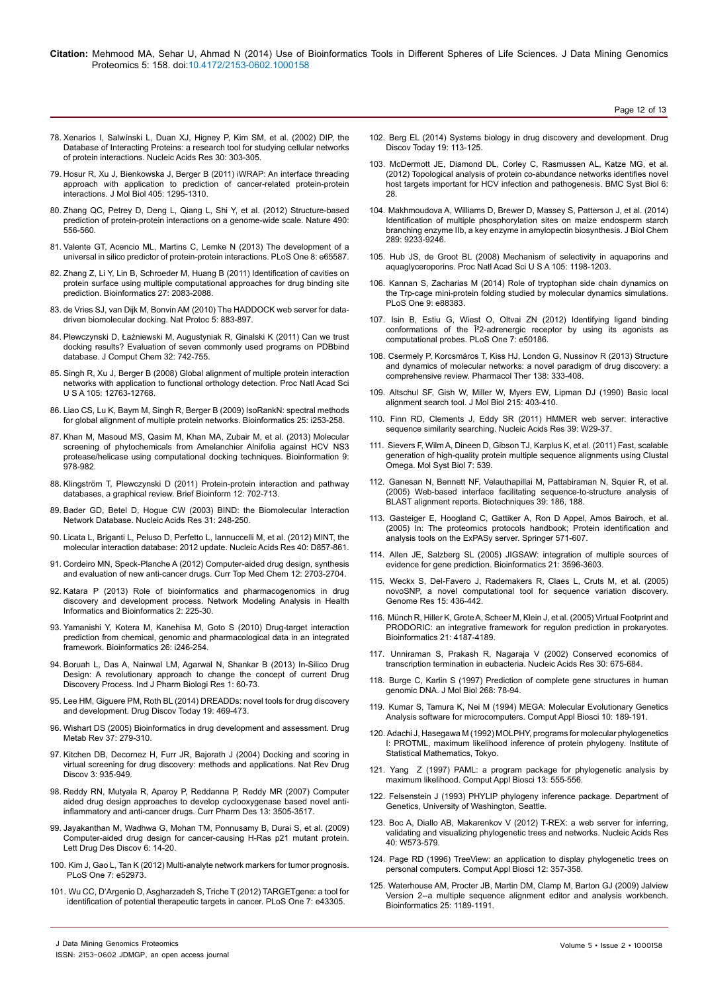Page 12 of 13

- 78. [Xenarios I, Salwínski L, Duan XJ, Higney P, Kim SM, et al. \(2002\) DIP, the](http://www.ncbi.nlm.nih.gov/pubmed/11752321) [Database of Interacting Proteins: a research tool for studying cellular networks](http://www.ncbi.nlm.nih.gov/pubmed/11752321) [of protein interactions. Nucleic Acids Res 30: 303-305.](http://www.ncbi.nlm.nih.gov/pubmed/11752321)
- 79. [Hosur R, Xu J, Bienkowska J, Berger B \(2011\) iWRAP: An interface threading](http://www.ncbi.nlm.nih.gov/pubmed/21130772) [approach with application to prediction of cancer-related protein-protein](http://www.ncbi.nlm.nih.gov/pubmed/21130772) [interactions. J Mol Biol 405: 1295-1310.](http://www.ncbi.nlm.nih.gov/pubmed/21130772)
- 80. [Zhang QC, Petrey D, Deng L, Qiang L, Shi Y, et al. \(2012\) Structure-based](http://www.ncbi.nlm.nih.gov/pubmed/23023127) [prediction of protein-protein interactions on a genome-wide scale. Nature 490:](http://www.ncbi.nlm.nih.gov/pubmed/23023127) [556-560.](http://www.ncbi.nlm.nih.gov/pubmed/23023127)
- 81. [Valente GT, Acencio ML, Martins C, Lemke N \(2013\) The development of a](http://www.ncbi.nlm.nih.gov/pubmed/23741499) [universal in silico predictor of protein-protein interactions. PLoS One 8: e65587.](http://www.ncbi.nlm.nih.gov/pubmed/23741499)
- 82. [Zhang Z, Li Y, Lin B, Schroeder M, Huang B \(2011\) Identification of cavities on](http://www.ncbi.nlm.nih.gov/pubmed/21636590) [protein surface using multiple computational approaches for drug binding site](http://www.ncbi.nlm.nih.gov/pubmed/21636590) [prediction. Bioinformatics 27: 2083-2088.](http://www.ncbi.nlm.nih.gov/pubmed/21636590)
- 83. [de Vries SJ, van Dijk M, Bonvin AM \(2010\) The HADDOCK web server for data](http://www.ncbi.nlm.nih.gov/pubmed/20431534)[driven biomolecular docking. Nat Protoc 5: 883-897.](http://www.ncbi.nlm.nih.gov/pubmed/20431534)
- 84. Plewczynski D, Łaźniewski M[, Augustyniak R, Ginalski K \(2011\) Can we trust](http://www.ncbi.nlm.nih.gov/pubmed/20812323) [docking results? Evaluation of seven commonly used programs on PDBbind](http://www.ncbi.nlm.nih.gov/pubmed/20812323) [database. J Comput Chem 32: 742-755.](http://www.ncbi.nlm.nih.gov/pubmed/20812323)
- 85. [Singh R, Xu J, Berger B \(2008\) Global alignment of multiple protein interaction](http://www.ncbi.nlm.nih.gov/pubmed/18725631) [networks with application to functional orthology detection. Proc Natl Acad Sci](http://www.ncbi.nlm.nih.gov/pubmed/18725631) [U S A 105: 12763-12768.](http://www.ncbi.nlm.nih.gov/pubmed/18725631)
- 86. [Liao CS, Lu K, Baym M, Singh R, Berger B \(2009\) IsoRankN: spectral methods](http://www.ncbi.nlm.nih.gov/pubmed/19477996) [for global alignment of multiple protein networks. Bioinformatics 25: i253-258.](http://www.ncbi.nlm.nih.gov/pubmed/19477996)
- 87. [Khan M, Masoud MS, Qasim M, Khan MA, Zubair M, et al. \(2013\) Molecular](http://www.ncbi.nlm.nih.gov/pubmed/24391361) [screening of phytochemicals from Amelanchier Alnifolia against HCV NS3](http://www.ncbi.nlm.nih.gov/pubmed/24391361) [protease/helicase using computational docking techniques. Bioinformation 9:](http://www.ncbi.nlm.nih.gov/pubmed/24391361) [978-982.](http://www.ncbi.nlm.nih.gov/pubmed/24391361)
- 88. [Klingström T, Plewczynski D \(2011\) Protein-protein interaction and pathway](http://www.ncbi.nlm.nih.gov/pubmed/20851835) [databases, a graphical review. Brief Bioinform 12: 702-713.](http://www.ncbi.nlm.nih.gov/pubmed/20851835)
- 89. [Bader GD, Betel D, Hogue CW \(2003\) BIND: the Biomolecular Interaction](http://www.ncbi.nlm.nih.gov/pubmed/12519993) [Network Database. Nucleic Acids Res 31: 248-250.](http://www.ncbi.nlm.nih.gov/pubmed/12519993)
- 90. [Licata L, Briganti L, Peluso D, Perfetto L, Iannuccelli M, et al. \(2012\) MINT, the](http://www.ncbi.nlm.nih.gov/pubmed/22096227) [molecular interaction database: 2012 update. Nucleic Acids Res 40: D857-861.](http://www.ncbi.nlm.nih.gov/pubmed/22096227)
- 91. [Cordeiro MN, Speck-Planche A \(2012\) Computer-aided drug design, synthesis](http://www.ncbi.nlm.nih.gov/pubmed/23368097) [and evaluation of new anti-cancer drugs. Curr Top Med Chem 12: 2703-2704.](http://www.ncbi.nlm.nih.gov/pubmed/23368097)
- 92. [Katara P \(2013\) Role of bioinformatics and pharmacogenomics in drug](http://link.springer.com/article/10.1007%2Fs13721-013-0039-5) [discovery and development process. Network Modeling Analysis in Health](http://link.springer.com/article/10.1007%2Fs13721-013-0039-5) [Informatics and Bioinformatics 2: 225-30.](http://link.springer.com/article/10.1007%2Fs13721-013-0039-5)
- 93. [Yamanishi Y, Kotera M, Kanehisa M, Goto S \(2010\) Drug-target interaction](http://www.ncbi.nlm.nih.gov/pubmed/20529913) [prediction from chemical, genomic and pharmacological data in an integrated](http://www.ncbi.nlm.nih.gov/pubmed/20529913) [framework. Bioinformatics 26: i246-254.](http://www.ncbi.nlm.nih.gov/pubmed/20529913)
- 94. [Boruah L, Das A, Nainwal LM, Agarwal N, Shankar B \(2013\) In-Silico Drug](http://www.oalib.com/paper/2456720) [Design: A revolutionary approach to change the concept of current Drug](http://www.oalib.com/paper/2456720) [Discovery Process. Ind J Pharm Biologi Res 1: 60-73.](http://www.oalib.com/paper/2456720)
- 95. [Lee HM, Giguere PM, Roth BL \(2014\) DREADDs: novel tools for drug discovery](http://www.ncbi.nlm.nih.gov/pubmed/24184433) [and development. Drug Discov Today 19: 469-473.](http://www.ncbi.nlm.nih.gov/pubmed/24184433)
- 96. [Wishart DS \(2005\) Bioinformatics in drug development and assessment. Drug](http://www.ncbi.nlm.nih.gov/pubmed/15931766) [Metab Rev 37: 279-310.](http://www.ncbi.nlm.nih.gov/pubmed/15931766)
- 97. [Kitchen DB, Decornez H, Furr JR, Bajorath J \(2004\) Docking and scoring in](http://www.ncbi.nlm.nih.gov/pubmed/15520816) [virtual screening for drug discovery: methods and applications. Nat Rev Drug](http://www.ncbi.nlm.nih.gov/pubmed/15520816) [Discov 3: 935-949.](http://www.ncbi.nlm.nih.gov/pubmed/15520816)
- 98. [Reddy RN, Mutyala R, Aparoy P, Reddanna P, Reddy MR \(2007\) Computer](http://www.ncbi.nlm.nih.gov/pubmed/18220787) [aided drug design approaches to develop cyclooxygenase based novel anti](http://www.ncbi.nlm.nih.gov/pubmed/18220787)[inflammatory and anti-cancer drugs. Curr Pharm Des 13: 3505-3517.](http://www.ncbi.nlm.nih.gov/pubmed/18220787)
- 99. [Jayakanthan M, Wadhwa G, Mohan TM, Ponnusamy B, Durai S, et al. \(2009\)](http://www.eurekaselect.com/83689/article/computer-aided-drug-design-cancer-causing-h-ras-p21-mutant-protein) [Computer-aided drug design for cancer-causing H-Ras p21 mutant protein.](http://www.eurekaselect.com/83689/article/computer-aided-drug-design-cancer-causing-h-ras-p21-mutant-protein) [Lett Drug Des Discov 6: 14-20.](http://www.eurekaselect.com/83689/article/computer-aided-drug-design-cancer-causing-h-ras-p21-mutant-protein)
- 100. [Kim J, Gao L, Tan K \(2012\) Multi-analyte network markers for tumor prognosis.](http://www.ncbi.nlm.nih.gov/pubmed/23300836) [PLoS One 7: e52973.](http://www.ncbi.nlm.nih.gov/pubmed/23300836)
- 101. [Wu CC, D'Argenio D, Asgharzadeh S, Triche T \(2012\) TARGETgene: a tool for](http://www.ncbi.nlm.nih.gov/pubmed/22952662) [identification of potential therapeutic targets in cancer. PLoS One 7: e43305.](http://www.ncbi.nlm.nih.gov/pubmed/22952662)
- 102. [Berg EL \(2014\) Systems biology in drug discovery and development. Drug](http://www.ncbi.nlm.nih.gov/pubmed/24120892)  [Discov Today 19: 113-125.](http://www.ncbi.nlm.nih.gov/pubmed/24120892)
- 103. [McDermott JE, Diamond DL, Corley C, Rasmussen AL, Katze MG, et al.](http://www.ncbi.nlm.nih.gov/pubmed/22546282)  [\(2012\) Topological analysis of protein co-abundance networks identifies novel](http://www.ncbi.nlm.nih.gov/pubmed/22546282)  [host targets important for HCV infection and pathogenesis. BMC Syst Biol 6:](http://www.ncbi.nlm.nih.gov/pubmed/22546282)  [28.](http://www.ncbi.nlm.nih.gov/pubmed/22546282)
- 104. [Makhmoudova A, Williams D, Brewer D, Massey S, Patterson J, et al. \(2014\)](http://www.ncbi.nlm.nih.gov/pubmed/24550386)  [Identification of multiple phosphorylation sites on maize endosperm starch](http://www.ncbi.nlm.nih.gov/pubmed/24550386)  [branching enzyme IIb, a key enzyme in amylopectin biosynthesis. J Biol Chem](http://www.ncbi.nlm.nih.gov/pubmed/24550386)  [289: 9233-9246.](http://www.ncbi.nlm.nih.gov/pubmed/24550386)
- 105. [Hub JS, de Groot BL \(2008\) Mechanism of selectivity in aquaporins and](http://www.ncbi.nlm.nih.gov/pubmed/18202181)  [aquaglyceroporins. Proc Natl Acad Sci U S A 105: 1198-1203.](http://www.ncbi.nlm.nih.gov/pubmed/18202181)
- 106. [Kannan S, Zacharias M \(2014\) Role of tryptophan side chain dynamics on](http://www.ncbi.nlm.nih.gov/pubmed/24563686)  [the Trp-cage mini-protein folding studied by molecular dynamics simulations.](http://www.ncbi.nlm.nih.gov/pubmed/24563686)  [PLoS One 9: e88383.](http://www.ncbi.nlm.nih.gov/pubmed/24563686)
- 107. [Isin B, Estiu G, Wiest O, Oltvai ZN \(2012\) Identifying ligand binding](http://www.ncbi.nlm.nih.gov/pubmed/23300522)  conformations of the Î<sup>2</sup>2-adrenergic receptor by using its agonists as [computational probes. PLoS One 7: e50186.](http://www.ncbi.nlm.nih.gov/pubmed/23300522)
- 108. [Csermely P, Korcsmáros T, Kiss HJ, London G, Nussinov R \(2013\) Structure](http://www.ncbi.nlm.nih.gov/pubmed/23384594)  [and dynamics of molecular networks: a novel paradigm of drug discovery: a](http://www.ncbi.nlm.nih.gov/pubmed/23384594)  [comprehensive review. Pharmacol Ther 138: 333-408.](http://www.ncbi.nlm.nih.gov/pubmed/23384594)
- 109. [Altschul SF, Gish W, Miller W, Myers EW, Lipman DJ \(1990\) Basic local](http://www.ncbi.nlm.nih.gov/pubmed/2231712)  [alignment search tool. J Mol Biol 215: 403-410.](http://www.ncbi.nlm.nih.gov/pubmed/2231712)
- 110. [Finn RD, Clements J, Eddy SR \(2011\) HMMER web server: interactive](http://www.ncbi.nlm.nih.gov/pubmed/21593126)  [sequence similarity searching. Nucleic Acids Res 39: W29-37.](http://www.ncbi.nlm.nih.gov/pubmed/21593126)
- 111. [Sievers F, Wilm A, Dineen D, Gibson TJ, Karplus K, et al. \(2011\) Fast, scalable](http://www.ncbi.nlm.nih.gov/pubmed/21988835)  [generation of high-quality protein multiple sequence alignments using Clustal](http://www.ncbi.nlm.nih.gov/pubmed/21988835)  [Omega. Mol Syst Biol 7: 539.](http://www.ncbi.nlm.nih.gov/pubmed/21988835)
- 112. [Ganesan N, Bennett NF, Velauthapillai M, Pattabiraman N, Squier R, et al.](http://www.ncbi.nlm.nih.gov/pubmed/16116790)  [\(2005\) Web-based interface facilitating sequence-to-structure analysis of](http://www.ncbi.nlm.nih.gov/pubmed/16116790)  [BLAST alignment reports. Biotechniques 39: 186, 188.](http://www.ncbi.nlm.nih.gov/pubmed/16116790)
- 113. [Gasteiger E, Hoogland C, Gattiker A, Ron D Appel, Amos Bairoch, et al.](http://link.springer.com/protocol/10.1385%2F1-59259-890-0%3A571)  [\(2005\) In: The proteomics protocols handbook; Protein identification and](http://link.springer.com/protocol/10.1385%2F1-59259-890-0%3A571)  [analysis tools on the ExPASy server. Springer 571-607.](http://link.springer.com/protocol/10.1385%2F1-59259-890-0%3A571)
- 114. Allen JF, Salzberg SL (2005) JIGSAW: integration of multiple sources of [evidence for gene prediction. Bioinformatics 21: 3596-3603.](http://www.ncbi.nlm.nih.gov/pubmed/16076884)
- 115. [Weckx S, Del-Favero J, Rademakers R, Claes L, Cruts M, et al. \(2005\)](http://www.ncbi.nlm.nih.gov/pubmed/15741513)  [novoSNP, a novel computational tool for sequence variation discovery.](http://www.ncbi.nlm.nih.gov/pubmed/15741513)  [Genome Res 15: 436-442.](http://www.ncbi.nlm.nih.gov/pubmed/15741513)
- 116. [Münch R, Hiller K, Grote A, Scheer M, Klein J, et al. \(2005\) Virtual Footprint and](http://www.ncbi.nlm.nih.gov/pubmed/16109747)  [PRODORIC: an integrative framework for regulon prediction in prokaryotes.](http://www.ncbi.nlm.nih.gov/pubmed/16109747)  [Bioinformatics 21: 4187-4189.](http://www.ncbi.nlm.nih.gov/pubmed/16109747)
- 117. [Unniraman S, Prakash R, Nagaraja V \(2002\) Conserved economics of](http://www.ncbi.nlm.nih.gov/pubmed/11809879)  [transcription termination in eubacteria. Nucleic Acids Res 30: 675-684.](http://www.ncbi.nlm.nih.gov/pubmed/11809879)
- 118. [Burge C, Karlin S \(1997\) Prediction of complete gene structures in human](http://www.ncbi.nlm.nih.gov/pubmed/9149143)  [genomic DNA. J Mol Biol 268: 78-94.](http://www.ncbi.nlm.nih.gov/pubmed/9149143)
- 119. [Kumar S, Tamura K, Nei M \(1994\) MEGA: Molecular Evolutionary Genetics](http://www.ncbi.nlm.nih.gov/pubmed/8019868)  [Analysis software for microcomputers. Comput Appl Biosci 10: 189-191.](http://www.ncbi.nlm.nih.gov/pubmed/8019868)
- 120. Adachi J, Hasegawa M (1992) MOLPHY, programs for molecular phylogenetics I: PROTML, maximum likelihood inference of protein phylogeny. Institute of Statistical Mathematics, Tokyo.
- 121. [Yang Z \(1997\) PAML: a program package for phylogenetic analysis by](http://www.ncbi.nlm.nih.gov/pubmed/9367129)  [maximum likelihood. Comput Appl Biosci 13: 555-556.](http://www.ncbi.nlm.nih.gov/pubmed/9367129)
- 122. Felsenstein J (1993) PHYLIP phylogeny inference package. Department of Genetics, University of Washington, Seattle.
- 123. [Boc A, Diallo AB, Makarenkov V \(2012\) T-REX: a web server for inferring,](http://www.ncbi.nlm.nih.gov/pubmed/22675075)  [validating and visualizing phylogenetic trees and networks. Nucleic Acids Res](http://www.ncbi.nlm.nih.gov/pubmed/22675075)  [40: W573-579.](http://www.ncbi.nlm.nih.gov/pubmed/22675075)
- 124. [Page RD \(1996\) TreeView: an application to display phylogenetic trees on](http://www.ncbi.nlm.nih.gov/pubmed/8902363)  [personal computers. Comput Appl Biosci 12: 357-358.](http://www.ncbi.nlm.nih.gov/pubmed/8902363)
- 125. [Waterhouse AM, Procter JB, Martin DM, Clamp M, Barton GJ \(2009\) Jalview](http://www.ncbi.nlm.nih.gov/pubmed/19151095)  [Version 2--a multiple sequence alignment editor and analysis workbench.](http://www.ncbi.nlm.nih.gov/pubmed/19151095)  [Bioinformatics 25: 1189-1191.](http://www.ncbi.nlm.nih.gov/pubmed/19151095)